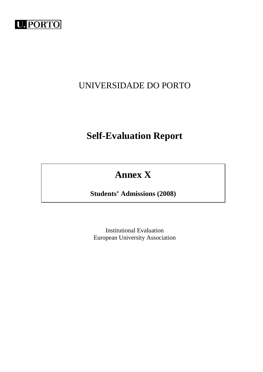

## UNIVERSIDADE DO PORTO

# **Self-Evaluation Report**

# **Annex X**

**Students' Admissions (2008)** 

Institutional Evaluation European University Association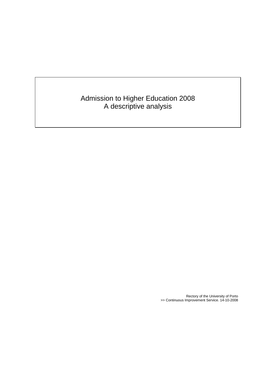## Admission to Higher Education 2008 A descriptive analysis

Rectory of the University of Porto >> Continuous Improvement Service. 14-10-2008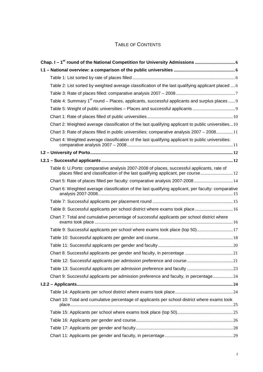## TABLE OF CONTENTS

| Table 2: List sorted by weighted average classification of the last qualifying applicant placed  6                                                                             |  |
|--------------------------------------------------------------------------------------------------------------------------------------------------------------------------------|--|
|                                                                                                                                                                                |  |
| Table 4: Summary 1 <sup>st</sup> round – Places, applicants, successful applicants and surplus places  9                                                                       |  |
|                                                                                                                                                                                |  |
|                                                                                                                                                                                |  |
| Chart 2: Weighted average classification of the last qualifying applicant to public universities 10                                                                            |  |
| Chart 3: Rate of places filled in public universities: comparative analysis 2007 - 2008 11                                                                                     |  |
| Chart 4: Weighted average classification of the last qualifying applicant to public universities:                                                                              |  |
|                                                                                                                                                                                |  |
|                                                                                                                                                                                |  |
| Table 6: U.Porto: comparative analysis 2007-2008 of places, successful applicants, rate of<br>places filled and classification of the last qualifying applicant, per course 12 |  |
| Chart 5: Rate of places filled per faculty: comparative analysis 2007-2008 14                                                                                                  |  |
| Chart 6: Weighted average classification of the last qualifying applicant, per faculty: comparative                                                                            |  |
|                                                                                                                                                                                |  |
| Table 8: Successful applicants per school district where exams took place 16                                                                                                   |  |
| Chart 7: Total and cumulative percentage of successful applicants per school district where                                                                                    |  |
| Table 9: Successful applicants per school where exams took place (top 50) 17                                                                                                   |  |
|                                                                                                                                                                                |  |
|                                                                                                                                                                                |  |
|                                                                                                                                                                                |  |
|                                                                                                                                                                                |  |
|                                                                                                                                                                                |  |
| Chart 9: Successful applicants per admission preference and faculty, in percentage 24                                                                                          |  |
|                                                                                                                                                                                |  |
|                                                                                                                                                                                |  |
| Chart 10: Total and cumulative percentage of applicants per school district where exams took                                                                                   |  |
|                                                                                                                                                                                |  |
|                                                                                                                                                                                |  |
|                                                                                                                                                                                |  |
|                                                                                                                                                                                |  |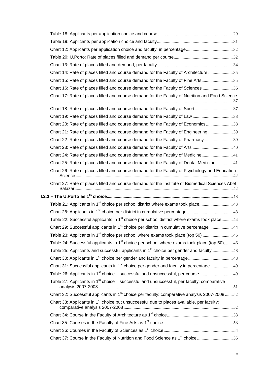| Chart 14: Rate of places filled and course demand for the Faculty of Architecture 35                      |  |
|-----------------------------------------------------------------------------------------------------------|--|
| Chart 15: Rate of places filled and course demand for the Faculty of Fine Arts35                          |  |
| Chart 16: Rate of places filled and course demand for the Faculty of Sciences  36                         |  |
| Chart 17: Rate of places filled and course demand for the Faculty of Nutrition and Food Science           |  |
|                                                                                                           |  |
| Chart 19: Rate of places filled and course demand for the Faculty of Law 38                               |  |
| Chart 20: Rate of places filled and course demand for the Faculty of Economics 38                         |  |
| Chart 21: Rate of places filled and course demand for the Faculty of Engineering  39                      |  |
| Chart 22: Rate of places filled and course demand for the Faculty of Pharmacy39                           |  |
| Chart 23: Rate of places filled and course demand for the Faculty of Arts  40                             |  |
| Chart 24: Rate of places filled and course demand for the Faculty of Medicine 41                          |  |
| Chart 25: Rate of places filled and course demand for the Faculty of Dental Medicine 41                   |  |
| Chart 26: Rate of places filled and course demand for the Faculty of Psychology and Education             |  |
| Chart 27: Rate of places filled and course demand for the Institute of Biomedical Sciences Abel           |  |
|                                                                                                           |  |
|                                                                                                           |  |
|                                                                                                           |  |
| Table 22: Successful applicants in 1 <sup>st</sup> choice per school district where exams took place 44   |  |
| Chart 29: Successful applicants in 1 <sup>st</sup> choice per district in cumulative percentage  44       |  |
| Table 23: Applicants in 1 <sup>st</sup> choice per school where exams took place (top 50)  45             |  |
| Table 24: Successful applicants in 1 <sup>st</sup> choice per school where exams took place (top 50) 46   |  |
| Table 25: Applicants and successful applicants in 1 <sup>st</sup> choice per gender and faculty 48        |  |
|                                                                                                           |  |
| Chart 31: Successful applicants in 1 <sup>st</sup> choice per gender and faculty in percentage  49        |  |
|                                                                                                           |  |
| Table 27: Applicants in $1st$ choice – successful and unsuccessful, per faculty: comparative              |  |
| Chart 32: Successful applicants in 1 <sup>st</sup> choice per faculty: comparative analysis 2007-2008  52 |  |
| Chart 33: Applicants in 1 <sup>st</sup> choice but unsuccessful due to places available, per faculty:     |  |
|                                                                                                           |  |
|                                                                                                           |  |
|                                                                                                           |  |
| Chart 37: Course in the Faculty of Nutrition and Food Science as 1 <sup>st</sup> choice 55                |  |
|                                                                                                           |  |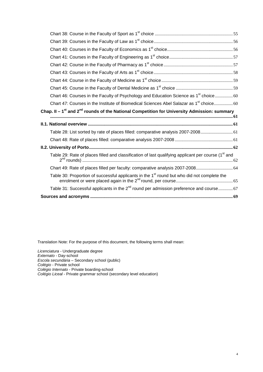| Chart 46: Courses in the Faculty of Psychology and Education Science as 1 <sup>st</sup> choice 60               |  |
|-----------------------------------------------------------------------------------------------------------------|--|
| Chart 47: Courses in the Institute of Biomedical Sciences Abel Salazar as 1 <sup>st</sup> choice 60             |  |
| Chap. II – $1^{st}$ and $2^{nd}$ rounds of the National Competition for University Admission: summary           |  |
|                                                                                                                 |  |
|                                                                                                                 |  |
|                                                                                                                 |  |
| Table 28: List sorted by rate of places filled: comparative analysis 2007-2008 61                               |  |
|                                                                                                                 |  |
|                                                                                                                 |  |
| Table 29: Rate of places filled and classification of last qualifying applicant per course (1 <sup>st</sup> and |  |
| Chart 49: Rate of places filled per faculty: comparative analysis 2007-2008 64                                  |  |
| Table 30: Proportion of successful applicants in the 1 <sup>st</sup> round but who did not complete the         |  |
| Table 31: Successful applicants in the 2 <sup>nd</sup> round per admission preference and course 67             |  |

Translation Note: For the purpose of this document, the following terms shall mean:

Licenciatura - Undergraduate degree Externato - Day-school Escola secundária – Secondary school (public) Colégio - Private school Colégio Internato - Private boarding-school Colégio Liceal - Private grammar school (secondary level education)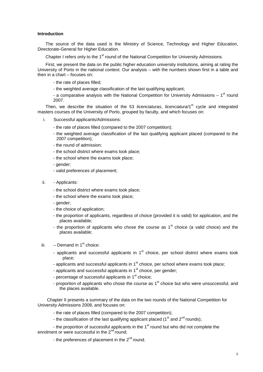#### **Introduction**

The source of the data used is the Ministry of Science, Technology and Higher Education, Directorate-General for Higher Education.

Chapter I refers only to the 1<sup>st</sup> round of the National Competition for University Admissions.

First, we present the data on the public higher education university institutions, aiming at rating the University of Porto in the national context. Our analysis – with the numbers shown first in a table and then in a chart – focuses on:

- the rate of places filled;
- the weighted average classification of the last qualifying applicant;

- a comparative analysis with the National Competition for University Admissions  $-1<sup>st</sup>$  round 2007.

Then, we describe the situation of the 53 licenciaturas, licenciatura/1<sup>st</sup> cycle and integrated masters courses of the University of Porto, grouped by faculty, and which focuses on:

- i. Successful applicants/Admissions:
	- the rate of places filled (compared to the 2007 competition);
	- the weighted average classification of the last qualifying applicant placed (compared to the 2007 competition);
	- the round of admission;
	- the school district where exams took place;
	- the school where the exams took place;
	- gender;
	- valid preferences of placement;
- ii. Applicants:
	- the school district where exams took place;
	- the school where the exams took place;
	- gender;
	- the choice of application;
	- the proportion of applicants, regardless of choice (provided it is valid) for application, and the places available;
	- the proportion of applicants who chose the course as  $1<sup>st</sup>$  choice (a valid choice) and the places available;
- iii.  $-$  Demand in 1<sup>st</sup> choice:
	- applicants and successful applicants in  $1<sup>st</sup>$  choice, per school district where exams took place;
	- applicants and successful applicants in 1<sup>st</sup> choice, per school where exams took place;
	- applicants and successful applicants in  $1<sup>st</sup>$  choice, per gender;
	- percentage of successful applicants in 1<sup>st</sup> choice;
	- proportion of applicants who chose the course as 1<sup>st</sup> choice but who were unsuccessful, and the places available.

Chapter II presents a summary of the data on the two rounds of the National Competition for University Admissions 2008, and focuses on:

- the rate of places filled (compared to the 2007 competition);
- the classification of the last qualifying applicant placed (1<sup>st</sup> and  $2^{nd}$  rounds);

- the proportion of successful applicants in the  $1<sup>st</sup>$  round but who did not complete the enrolment or were successful in the 2<sup>nd</sup> round:

- the preferences of placement in the  $2^{nd}$  round.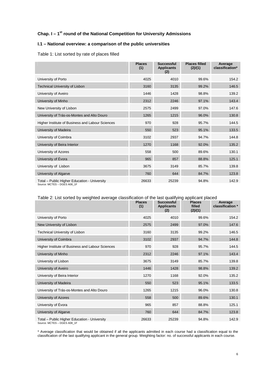## **Chap. I – 1st round of the National Competition for University Admissions**

#### **I.1 – National overview: a comparison of the public universities**

Table 1: List sorted by rate of places filled

|                                                                             | <b>Places</b><br>(1) | <b>Successful</b><br><b>Applicants</b><br>(2) | <b>Places filled</b><br>(2)/(1) | Average<br>classification* |
|-----------------------------------------------------------------------------|----------------------|-----------------------------------------------|---------------------------------|----------------------------|
| University of Porto                                                         | 4025                 | 4010                                          | 99.6%                           | 154.2                      |
| Technical University of Lisbon                                              | 3160                 | 3135                                          | 99.2%                           | 146.5                      |
| University of Aveiro                                                        | 1446                 | 1428                                          | 98.8%                           | 139.2                      |
| University of Minho                                                         | 2312                 | 2246                                          | 97.1%                           | 143.4                      |
| New University of Lisbon                                                    | 2575                 | 2499                                          | 97.0%                           | 147.6                      |
| University of Trás-os-Montes and Alto Douro                                 | 1265                 | 1215                                          | 96.0%                           | 130.8                      |
| Higher Institute of Business and Labour Sciences                            | 970                  | 928                                           | 95.7%                           | 144.5                      |
| University of Madeira                                                       | 550                  | 523                                           | 95.1%                           | 133.5                      |
| University of Coimbra                                                       | 3102                 | 2937                                          | 94.7%                           | 144.8                      |
| University of Beira Interior                                                | 1270                 | 1168                                          | 92.0%                           | 135.2                      |
| University of Azores                                                        | 558                  | 500                                           | 89.6%                           | 130.1                      |
| University of Évora                                                         | 965                  | 857                                           | 88.8%                           | 125.1                      |
| University of Lisbon                                                        | 3675                 | 3149                                          | 85.7%                           | 139.8                      |
| University of Algarve                                                       | 760                  | 644                                           | 84.7%                           | 123.8                      |
| Total - Public Higher Education - University<br>Source: MCTES - DGES A08_1F | 26633                | 25239                                         | 94.8%                           | 142.9                      |

#### Table 2: List sorted by weighted average classification of the last qualifying applicant placed

|                                                                             | <b>Places</b><br>(1) | Successful<br><b>Applicants</b><br>(2) | <b>Places</b><br>filled<br>(2)/(1) | Average<br>classification * |
|-----------------------------------------------------------------------------|----------------------|----------------------------------------|------------------------------------|-----------------------------|
| University of Porto                                                         | 4025                 | 4010                                   | 99.6%                              | 154.2                       |
| New University of Lisbon                                                    | 2575                 | 2499                                   | 97.0%                              | 147.6                       |
| <b>Technical University of Lisbon</b>                                       | 3160                 | 3135                                   | 99.2%                              | 146.5                       |
| University of Coimbra                                                       | 3102                 | 2937                                   | 94.7%                              | 144.8                       |
| Higher Institute of Business and Labour Sciences                            | 970                  | 928                                    | 95.7%                              | 144.5                       |
| University of Minho                                                         | 2312                 | 2246                                   | 97.1%                              | 143.4                       |
| University of Lisbon                                                        | 3675                 | 3149                                   | 85.7%                              | 139.8                       |
| University of Aveiro                                                        | 1446                 | 1428                                   | 98.8%                              | 139.2                       |
| University of Beira Interior                                                | 1270                 | 1168                                   | 92.0%                              | 135.2                       |
| University of Madeira                                                       | 550                  | 523                                    | 95.1%                              | 133.5                       |
| University of Trás-os-Montes and Alto Douro                                 | 1265                 | 1215                                   | 96.0%                              | 130.8                       |
| University of Azores                                                        | 558                  | 500                                    | 89.6%                              | 130.1                       |
| University of Évora                                                         | 965                  | 857                                    | 88.8%                              | 125.1                       |
| University of Algarve                                                       | 760                  | 644                                    | 84.7%                              | 123.8                       |
| Total - Public Higher Education - University<br>Source: MCTES - DGES A08 1F | 26633                | 25239                                  | 94.8%                              | 142.9                       |

\* Average classification that would be obtained if all the applicants admitted in each course had a classification equal to the classification of the last qualifying applicant in the general group. Weighting factor: no. of successful applicants in each course.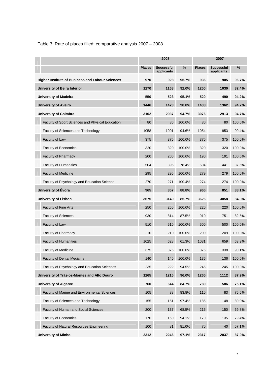Table 3: Rate of places filled: comparative analysis 2007 – 2008

|                                                         | 2008          |                                 |        | 2007          |                                 |        |  |
|---------------------------------------------------------|---------------|---------------------------------|--------|---------------|---------------------------------|--------|--|
|                                                         | <b>Places</b> | <b>Successful</b><br>applicants | %      | <b>Places</b> | <b>Successful</b><br>applicants | %      |  |
| <b>Higher Institute of Business and Labour Sciences</b> | 970           | 928                             | 95.7%  | 936           | 905                             | 96.7%  |  |
| <b>University of Beira Interior</b>                     | 1270          | 1168                            | 92.0%  | 1250          | 1030                            | 82.4%  |  |
| <b>University of Madeira</b>                            | 550           | 523                             | 95.1%  | 520           | 490                             | 94.2%  |  |
| <b>University of Aveiro</b>                             | 1446          | 1428                            | 98.8%  | 1438          | 1362                            | 94.7%  |  |
| <b>University of Coimbra</b>                            | 3102          | 2937                            | 94.7%  | 3076          | 2913                            | 94.7%  |  |
| Faculty of Sport Sciences and Physical Education        | 80            | 80                              | 100.0% | 80            | 80                              | 100.0% |  |
| Faculty of Sciences and Technology                      | 1058          | 1001                            | 94.6%  | 1054          | 953                             | 90.4%  |  |
| Faculty of Law                                          | 375           | 375                             | 100.0% | 375           | 375                             | 100.0% |  |
| Faculty of Economics                                    | 320           | 320                             | 100.0% | 320           | 320                             | 100.0% |  |
| <b>Faculty of Pharmacy</b>                              | 200           | 200                             | 100.0% | 190           | 191                             | 100.5% |  |
| <b>Faculty of Humanities</b>                            | 504           | 395                             | 78.4%  | 504           | 441                             | 87.5%  |  |
| <b>Faculty of Medicine</b>                              | 295           | 295                             | 100.0% | 279           | 279                             | 100.0% |  |
| Faculty of Psychology and Education Science             | 270           | 271                             | 100.4% | 274           | 274                             | 100.0% |  |
| University of Évora                                     | 965           | 857                             | 88.8%  | 966           | 851                             | 88.1%  |  |
| <b>University of Lisbon</b>                             | 3675          | 3149                            | 85.7%  | 3626          | 3058                            | 84.3%  |  |
| <b>Faculty of Fine Arts</b>                             | 250           | 250                             | 100.0% | 220           | 220                             | 100.0% |  |
| <b>Faculty of Sciences</b>                              | 930           | 814                             | 87.5%  | 910           | 751                             | 82.5%  |  |
| Faculty of Law                                          | 510           | 510                             | 100.0% | 500           | 500                             | 100.0% |  |
| Faculty of Pharmacy                                     | 210           | 210                             | 100.0% | 209           | 209                             | 100.0% |  |
| <b>Faculty of Humanities</b>                            | 1025          | 628                             | 61.3%  | 1031          | 659                             | 63.9%  |  |
| <b>Faculty of Medicine</b>                              | 375           | 375                             | 100.0% | 375           | 338                             | 90.1%  |  |
| <b>Faculty of Dental Medicine</b>                       | 140           | 140                             | 100.0% | 136           | 136                             | 100.0% |  |
| Faculty of Psychology and Education Sciences            | 235           | 222                             | 94.5%  | 245           | 245                             | 100.0% |  |
| University of Trás-os-Montes and Alto Douro             | 1265          | 1215                            | 96.0%  | 1265          | 1112                            | 87.9%  |  |
| <b>University of Algarve</b>                            | 760           | 644                             | 84.7%  | 780           | 586                             | 75.1%  |  |
| Faculty of Marine and Environmental Sciences            | 105           | 88                              | 83.8%  | 110           | 83                              | 75.5%  |  |
| Faculty of Sciences and Technology                      | 155           | 151                             | 97.4%  | 185           | 148                             | 80.0%  |  |
| Faculty of Human and Social Sciences                    | 200           | 137                             | 68.5%  | 215           | 150                             | 69.8%  |  |
| Faculty of Economics                                    | 170           | 160                             | 94.1%  | 170           | 135                             | 79.4%  |  |
| Faculty of Natural Resources Engineering                | 100           | 81                              | 81.0%  | 70            | 40                              | 57.1%  |  |
| <b>University of Minho</b>                              | 2312          | 2246                            | 97.1%  | 2317          | 2037                            | 87.9%  |  |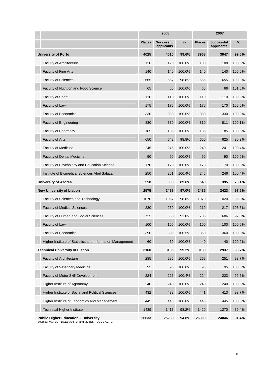|                                                           |               | 2008                            |        |               | 2007                     |        |
|-----------------------------------------------------------|---------------|---------------------------------|--------|---------------|--------------------------|--------|
|                                                           | <b>Places</b> | <b>Successful</b><br>applicants | %      | <b>Places</b> | Successful<br>applicants | %      |
| <b>University of Porto</b>                                | 4025          | 4010                            | 99.6%  | 3968          | 3947                     | 99.5%  |
| <b>Faculty of Architecture</b>                            | 120           | 120                             | 100.0% | 108           | 108                      | 100.0% |
| <b>Faculty of Fine Arts</b>                               | 140           | 140                             | 100.0% | 140           | 140                      | 100.0% |
| <b>Faculty of Sciences</b>                                | 665           | 657                             | 98.8%  | 655           | 655                      | 100.0% |
| Faculty of Nutrition and Food Science                     | 65            | 65                              | 100.0% | 65            | 66                       | 101.5% |
| <b>Faculty of Sport</b>                                   | 110           | 110                             | 100.0% | 110           | 110                      | 100.0% |
| Faculty of Law                                            | 175           | 175                             | 100.0% | 170           | 170                      | 100.0% |
| Faculty of Economics                                      | 330           | 330                             | 100.0% | 330           | 330                      | 100.0% |
| <b>Faculty of Engineering</b>                             | 830           | 830                             | 100.0% | 810           | 811                      | 100.1% |
| Faculty of Pharmacy                                       | 185           | 185                             | 100.0% | 185           | 185                      | 100.0% |
| <b>Faculty of Arts</b>                                    | 650           | 642                             | 98.8%  | 650           | 625                      | 96.2%  |
| <b>Faculty of Medicine</b>                                | 245           | 245                             | 100.0% | 240           | 241                      | 100.4% |
| <b>Faculty of Dental Medicine</b>                         | 90            | 90                              | 100.0% | 90            | 90                       | 100.0% |
| Faculty of Psychology and Education Science               | 170           | 170                             | 100.0% | 170           | 170                      | 100.0% |
| Institute of Biomedical Sciences Abel Salazar             | 250           | 251                             | 100.4% | 245           | 246                      | 100.4% |
| <b>University of Azores</b>                               | 558           | 500                             | 89.6%  | 540           | 395                      | 73.1%  |
| <b>New University of Lisbon</b>                           | 2575          | 2499                            | 97.0%  | 2485          | 2423                     | 97.5%  |
| Faculty of Sciences and Technology                        | 1070          | 1057                            | 98.8%  | 1070          | 1020                     | 95.3%  |
| <b>Faculty of Medical Sciences</b>                        | 230           | 230                             | 100.0% | 210           | 217                      | 103.3% |
| <b>Faculty of Human and Social Sciences</b>               | 725           | 660                             | 91.0%  | 705           | 686                      | 97.3%  |
| Faculty of Law                                            | 100           | 100                             | 100.0% | 100           | 100                      | 100.0% |
| Faculty of Economics                                      | 390           | 392                             | 100.5% | 360           | 360                      | 100.0% |
| Higher Institute of Statistics and Information Management | 60            | 60                              | 100.0% | 40            | 40                       | 100.0% |
| <b>Technical University of Lisbon</b>                     | 3160          | 3135                            | 99.2%  | 3133          | 2937                     | 93.7%  |
| <b>Faculty of Architecture</b>                            | 285           | 285                             | 100.0% | 268           | 251                      | 93.7%  |
| <b>Faculty of Veterinary Medicine</b>                     | 95            | 95                              | 100.0% | 95            | 95                       | 100.0% |
| Faculty of Motor Skill Development                        | 224           | 225                             | 100.4% | 224           | 223                      | 99.6%  |
| Higher Institute of Agronomy                              | 240           | 240                             | 100.0% | 240           | 240                      | 100.0% |
| Higher Institute of Social and Political Sciences         | 432           | 432                             | 100.0% | 441           | 413                      | 93.7%  |
| Higher Institute of Economics and Management              | 445           | 445                             | 100.0% | 445           | 445                      | 100.0% |
| <b>Technical Higher Institute</b>                         | 1439          | 1413                            | 98.2%  | 1420          | 1270                     | 89.4%  |
| <b>Public Higher Education - University</b>               | 26633         | 25239                           | 94.8%  | 26300         | 24046                    | 91.4%  |

Sources: MCTES – DGES A08\_1F and MCTES – DGES A07\_1F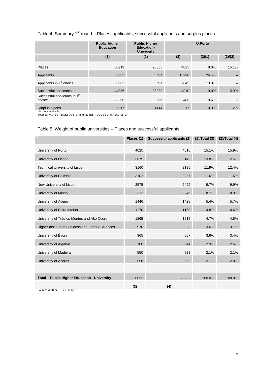## Table 4: Summary 1<sup>st</sup> round – Places, applicants, successful applicants and surplus places

|                                                                                                           | <b>Public Higher</b><br><b>Education</b> | <b>Public Higher</b><br><b>Education-</b><br><b>University</b> | <b>U.Porto</b> |        |                              |
|-----------------------------------------------------------------------------------------------------------|------------------------------------------|----------------------------------------------------------------|----------------|--------|------------------------------|
|                                                                                                           | (1)                                      | (2)                                                            | (3)            | (3)/1) | (3)/(2)                      |
| <b>Places</b>                                                                                             | 50219                                    | 26633                                                          | 4025           | 8.0%   | 15.1%                        |
| Applicants                                                                                                | 53062                                    | n/a                                                            | 13990          | 26.4%  | $\qquad \qquad \blacksquare$ |
| Applicants in 1 <sup>st</sup> choice                                                                      | 53062                                    | n/a                                                            | 7045           | 13.3%  |                              |
| Successful applicants                                                                                     | 44336                                    | 25239                                                          | 4010           | 9.0%   | 15.9%                        |
| Successful applicants in 1st<br>choice                                                                    | 23366                                    | n/a                                                            | 2486           | 10.6%  |                              |
| Surplus places<br>$n/a = not available$<br>Sources: MCTES - DGES A08_1F and MCTES - DGES BD_U.Porto_08_1F | 5917                                     | 1414                                                           | 17             | 0.3%   | 1.2%                         |

## Table 5: Weight of public universities – Places and successful applicants

|                                                     | Places (1) | Successful applicants (2) (1)/Total (3) |        | $(2)$ /Total $(4)$ |
|-----------------------------------------------------|------------|-----------------------------------------|--------|--------------------|
| University of Porto                                 | 4025       | 4010                                    | 15.1%  | 15.9%              |
| University of Lisbon                                | 3675       | 3149                                    | 13.8%  | 12.5%              |
| Technical University of Lisbon                      | 3160       | 3135                                    | 11.9%  | 12.4%              |
| University of Coimbra                               | 3102       | 2937                                    | 11.6%  | 11.6%              |
| New University of Lisbon                            | 2575       | 2499                                    | 9.7%   | 9.9%               |
| University of Minho                                 | 2312       | 2246                                    | 8.7%   | 8.9%               |
| University of Aveiro                                | 1446       | 1428                                    | 5.4%   | 5.7%               |
| University of Beira Interior                        | 1270       | 1168                                    | 4.8%   | 4.6%               |
| University of Trás-os-Montes and Alto Douro         | 1265       | 1215                                    | 4.7%   | 4.8%               |
| Higher Institute of Business and Labour Sciences    | 970        | 928                                     | 3.6%   | 3.7%               |
| University of Évora                                 | 965        | 857                                     | 3.6%   | 3.4%               |
| University of Algarve                               | 760        | 644                                     | 2.9%   | 2.6%               |
| University of Madeira                               | 550        | 523                                     | 2.1%   | 2.1%               |
| <b>University of Azores</b>                         | 558        | 500                                     | 2.1%   | 2.0%               |
|                                                     |            |                                         |        |                    |
| <b>Total - Public Higher Education - University</b> | 26633      | 25239                                   | 100.0% | 100.0%             |
| Source: MCTES - DGES A08 1F                         | (3)        | (4)                                     |        |                    |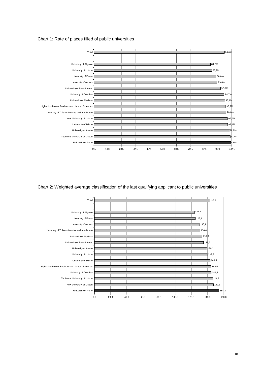



Chart 2: Weighted average classification of the last qualifying applicant to public universities

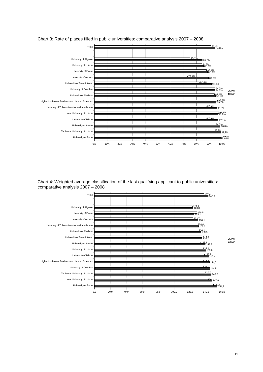

Chart 3: Rate of places filled in public universities: comparative analysis 2007 – 2008

Chart 4: Weighted average classification of the last qualifying applicant to public universities: comparative analysis 2007 – 2008

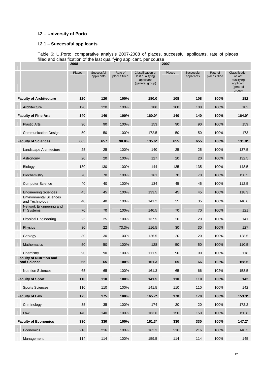#### **I.2 – University of Porto**

**COLLEGE** 

#### **I.2.1 – Successful applicants**

Table 6: U.Porto: comparative analysis 2007-2008 of places, successful applicants, rate of places filled and classification of the last qualifying applicant, per course

|                                                        | 2008          |                          |                          |                                                                      | 2007          |                          |                          |                                                                            |
|--------------------------------------------------------|---------------|--------------------------|--------------------------|----------------------------------------------------------------------|---------------|--------------------------|--------------------------|----------------------------------------------------------------------------|
|                                                        | <b>Places</b> | Successful<br>applicants | Rate of<br>places filled | Classification of<br>last qualifying<br>applicant<br>(general group) | <b>Places</b> | Successful<br>applicants | Rate of<br>places filled | Classification<br>of last<br>qualifying<br>applicant<br>(general<br>group) |
| <b>Faculty of Architecture</b>                         | 120           | 120                      | 100%                     | 180.0                                                                | 108           | 108                      | 100%                     | 182                                                                        |
| Architecture                                           | 120           | 120                      | 100%                     | 180                                                                  | 108           | 108                      | 100%                     | 182                                                                        |
| <b>Faculty of Fine Arts</b>                            | 140           | 140                      | 100%                     | 160.0*                                                               | 140           | 140                      | 100%                     | 164.0*                                                                     |
| <b>Plastic Arts</b>                                    | 90            | 90                       | 100%                     | 153                                                                  | 90            | 90                       | 100%                     | 159                                                                        |
| <b>Communication Design</b>                            | 50            | 50                       | 100%                     | 172.5                                                                | 50            | 50                       | 100%                     | 173                                                                        |
| <b>Faculty of Sciences</b>                             | 665           | 657                      | 98.8%                    | 135.6*                                                               | 655           | 655                      | 100%                     | $131.8*$                                                                   |
| Landscape Architecture                                 | 25            | 25                       | 100%                     | 140                                                                  | 25            | 25                       | 100%                     | 137.5                                                                      |
| Astronomy                                              | 20            | 20                       | 100%                     | 127                                                                  | 20            | 20                       | 100%                     | 132.5                                                                      |
| <b>Biology</b>                                         | 130           | 130                      | 100%                     | 144                                                                  | 135           | 135                      | 100%                     | 148.5                                                                      |
| Biochemistry                                           | 70            | 70                       | 100%                     | 161                                                                  | 70            | 70                       | 100%                     | 158.5                                                                      |
| <b>Computer Science</b>                                | 40            | 40                       | 100%                     | 134                                                                  | 45            | 45                       | 100%                     | 112.5                                                                      |
| <b>Engineering Sciences</b>                            | 45            | 45                       | 100%                     | 133.5                                                                | 45            | 45                       | 100%                     | 118.3                                                                      |
| <b>Environmental Sciences</b><br>and Technology        | 40            | 40                       | 100%                     | 141.2                                                                | 35            | 35                       | 100%                     | 140.6                                                                      |
| Network Engineering and<br><b>IT Systems</b>           | 70            | 70                       | 100%                     | 140.5                                                                | 70            | 70                       | 100%                     | 121                                                                        |
| <b>Physical Engineering</b>                            | 25            | 25                       | 100%                     | 137.5                                                                | 20            | 20                       | 100%                     | 141                                                                        |
| Physics                                                | 30            | 22                       | 73.3%                    | 116.5                                                                | 30            | 30                       | 100%                     | 127                                                                        |
| Geology                                                | 30            | 30                       | 100%                     | 126.5                                                                | 20            | 20                       | 100%                     | 128.5                                                                      |
| <b>Mathematics</b>                                     | 50            | 50                       | 100%                     | 128                                                                  | 50            | 50                       | 100%                     | 110.5                                                                      |
| Chemistry                                              | 90            | 90                       | 100%                     | 111.5                                                                | 90            | 90                       | 100%                     | 118                                                                        |
| <b>Faculty of Nutrition and</b><br><b>Food Science</b> | 65            | 65                       | 100%                     | 161.3                                                                | 65            | 66                       | 102%                     | 158.5                                                                      |
| <b>Nutrition Sciences</b>                              | 65            | 65                       | 100%                     | 161.3                                                                | 65            | 66                       | 102%                     | 158.5                                                                      |
| <b>Faculty of Sport</b>                                | 110           | 110                      | 100%                     | 141.5                                                                | 110           | 110                      | 100%                     | 142                                                                        |
| <b>Sports Sciences</b>                                 | 110           | 110                      | 100%                     | 141.5                                                                | 110           | 110                      | 100%                     | 142                                                                        |
| <b>Faculty of Law</b>                                  | 175           | 175                      | 100%                     | 165.7*                                                               | 170           | 170                      | 100%                     | $153.3*$                                                                   |
| Criminology                                            | 35            | 35                       | 100%                     | 174                                                                  | 20            | 20                       | 100%                     | 172.2                                                                      |
| Law                                                    | 140           | 140                      | 100%                     | 163.6                                                                | 150           | 150                      | 100%                     | 150.8                                                                      |
| <b>Faculty of Economics</b>                            | 330           | 330                      | 100%                     | $161.3*$                                                             | 330           | 330                      | 100%                     | $147.2*$                                                                   |
| Economics                                              | 216           | 216                      | 100%                     | 162.3                                                                | 216           | 216                      | 100%                     | 148.3                                                                      |
| Management                                             | 114           | 114                      | 100%                     | 159.5                                                                | 114           | 114                      | 100%                     | 145                                                                        |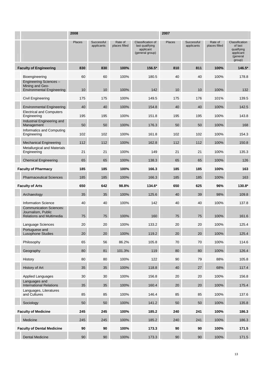|                                                                                         | 2008          |                          |                          |                                                                      | 2007          |                          |                          |                                                                            |  |
|-----------------------------------------------------------------------------------------|---------------|--------------------------|--------------------------|----------------------------------------------------------------------|---------------|--------------------------|--------------------------|----------------------------------------------------------------------------|--|
|                                                                                         | <b>Places</b> | Successful<br>applicants | Rate of<br>places filled | Classification of<br>last qualifying<br>applicant<br>(general group) | <b>Places</b> | Successful<br>applicants | Rate of<br>places filled | Classification<br>of last<br>qualifying<br>applicant<br>(general<br>group) |  |
| <b>Faculty of Engineering</b>                                                           | 830           | 830                      | 100%                     | 156.5*                                                               | 810           | 811                      | 100%                     | $146.5*$                                                                   |  |
| Bioengineering                                                                          | 60            | 60                       | 100%                     | 180.5                                                                | 40            | 40                       | 100%                     | 178.8                                                                      |  |
| Engineering Sciences-<br>Mining and Geo-<br><b>Environmental Engineering</b>            | 10            | 10                       | 100%                     | 142                                                                  | 10            | 10                       | 100%                     | 132                                                                        |  |
| Civil Engineering                                                                       | 175           | 175                      | 100%                     | 149.5                                                                | 175           | 176                      | 101%                     | 139.5                                                                      |  |
| <b>Environmental Engineering</b>                                                        | 40            | 40                       | 100%                     | 154.8                                                                | 40            | 40                       | 100%                     | 142.5                                                                      |  |
| <b>Electrical and Computers</b><br>Engineering                                          | 195           | 195                      | 100%                     | 151.8                                                                | 195           | 195                      | 100%                     | 143.8                                                                      |  |
| Industrial Engineering and<br>Management                                                | 50            | 50                       | 100%                     | 176.3                                                                | 50            | 50                       | 100%                     | 168                                                                        |  |
| Informatics and Computing<br>Engineering                                                | 102           | 102                      | 100%                     | 161.8                                                                | 102           | 102                      | 100%                     | 154.3                                                                      |  |
| <b>Mechanical Engineering</b>                                                           | 112           | 112                      | 100%                     | 162.8                                                                | 112           | 112                      | 100%                     | 150.8                                                                      |  |
| <b>Metallurgical and Materials</b><br>Engineering                                       | 21            | 21                       | 100%                     | 149                                                                  | 21            | 21                       | 100%                     | 135.3                                                                      |  |
| <b>Chemical Engineering</b>                                                             | 65            | 65                       | 100%                     | 138.3                                                                | 65            | 65                       | 100%                     | 126                                                                        |  |
| <b>Faculty of Pharmacy</b>                                                              | 185           | 185                      | 100%                     | 166.3                                                                | 185           | 185                      | 100%                     | 163                                                                        |  |
| <b>Pharmaceutical Sciences</b>                                                          | 185           | 185                      | 100%                     | 166.3                                                                | 185           | 185                      | 100%                     | 163                                                                        |  |
| <b>Faculty of Arts</b>                                                                  | 650           | 642                      | 98.8%                    | 134.6*                                                               | 650           | 625                      | 96%                      | 130.8*                                                                     |  |
| Archaeology                                                                             | 35            | 35                       | 100%                     | 125.6                                                                | 40            | 39                       | 98%                      | 109.8                                                                      |  |
| <b>Information Science</b>                                                              | 40            | 40                       | 100%                     | 142                                                                  | 40            | 40                       | 100%                     | 137.8                                                                      |  |
| <b>Communication Sciences:</b><br>Journalism, Public<br><b>Relations and Multimedia</b> | 75            | 75                       | 100%                     | 160                                                                  | 75            | 75                       | 100%                     | 161.6                                                                      |  |
| Language Sciences                                                                       | 20            | 20                       | 100%                     | 133.2                                                                | 20            | 20                       | 100%                     | 125.4                                                                      |  |
| Portuguese and<br>Lusophone Studies                                                     | 20            | 20                       | 100%                     | 119.2                                                                | 20            | 20                       | 100%                     | 125.4                                                                      |  |
| Philosophy                                                                              | 65            | 56                       | 86.2%                    | 105.8                                                                | 70            | 70                       | 100%                     | 114.6                                                                      |  |
| Geography                                                                               | 80            | 81                       | 101.3%                   | 119                                                                  | 80            | 80                       | 100%                     | 126.4                                                                      |  |
| History                                                                                 | 80            | 80                       | 100%                     | 122                                                                  | 90            | 79                       | 88%                      | 105.8                                                                      |  |
| History of Art                                                                          | 35            | 35                       | 100%                     | 118.8                                                                | 40            | 27                       | 68%                      | 117.4                                                                      |  |
| Applied Languages                                                                       | 30            | 30                       | 100%                     | 156.8                                                                | 20            | 20                       | 100%                     | 156.8                                                                      |  |
| Languages and<br><b>International Relations</b>                                         | 35            | 35                       | 100%                     | 160.4                                                                | 20            | 20                       | 100%                     | 175.4                                                                      |  |
| Languages, Literatures<br>and Cultures                                                  | 85            | 85                       | 100%                     | 146.4                                                                | 85            | 85                       | 100%                     | 137.6                                                                      |  |
| Sociology                                                                               | 50            | 50                       | 100%                     | 141.2                                                                | 50            | 50                       | 100%                     | 135.8                                                                      |  |
| <b>Faculty of Medicine</b>                                                              | 245           | 245                      | 100%                     | 185.2                                                                | 240           | 241                      | 100%                     | 186.3                                                                      |  |
| Medicine                                                                                | 245           | 245                      | 100%                     | 185.2                                                                | 240           | 241                      | 100%                     | 186.3                                                                      |  |
| <b>Faculty of Dental Medicine</b>                                                       | 90            | 90                       | 100%                     | 173.3                                                                | 90            | 90                       | 100%                     | 171.5                                                                      |  |
| <b>Dental Medicine</b>                                                                  | 90            | 90                       | 100%                     | 173.3                                                                | 90            | 90                       | 100%                     | 171.5                                                                      |  |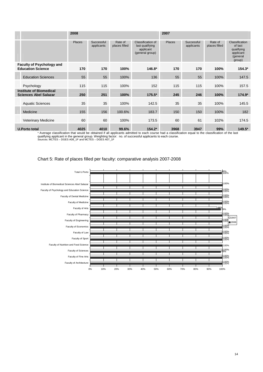|                                                              |                                                                | 2008   |                          |                          |                                                                             | 2007   |                          |                          |                                                                            |
|--------------------------------------------------------------|----------------------------------------------------------------|--------|--------------------------|--------------------------|-----------------------------------------------------------------------------|--------|--------------------------|--------------------------|----------------------------------------------------------------------------|
|                                                              |                                                                | Places | Successful<br>applicants | Rate of<br>places filled | <b>Classification of</b><br>last qualifying<br>applicant<br>(general group) | Places | Successful<br>applicants | Rate of<br>places filled | Classification<br>of last<br>qualifying<br>applicant<br>(general<br>group) |
| <b>Faculty of Psychology and</b><br><b>Education Science</b> |                                                                | 170    | 170                      | 100%                     | $146.8*$                                                                    | 170    | 170                      | 100%                     | $154.3*$                                                                   |
|                                                              | <b>Education Sciences</b>                                      | 55     | 55                       | 100%                     | 136                                                                         | 55     | 55                       | 100%                     | 147.5                                                                      |
|                                                              | Psychology                                                     | 115    | 115                      | 100%                     | 152                                                                         | 115    | 115                      | 100%                     | 157.5                                                                      |
|                                                              | <b>Institute of Biomedical</b><br><b>Sciences Abel Salazar</b> | 250    | 251                      | 100%                     | $175.5*$                                                                    | 245    | 246                      | 100%                     | $174.9*$                                                                   |
|                                                              | <b>Aquatic Sciences</b>                                        | 35     | 35                       | 100%                     | 142.5                                                                       | 35     | 35                       | 100%                     | 145.5                                                                      |
|                                                              | Medicine                                                       | 155    | 156                      | 100.6%                   | 183.7                                                                       | 150    | 150                      | 100%                     | 182                                                                        |
|                                                              | <b>Veterinary Medicine</b>                                     | 60     | 60                       | 100%                     | 173.5                                                                       | 60     | 61                       | 102%                     | 174.5                                                                      |
| <b>U.Porto total</b>                                         |                                                                | 4025   | 4010                     | 99.6%                    | $154.2*$                                                                    | 3968   | 3947                     | 99%                      | 149.5*                                                                     |

\* Average classification that would be obtained if all applicants admitted to each course had a classification equal to the classification of the last qualifying applicant in the general group. Weighting factor: no. of successful applicants to each course. Sources: MCTES – DGES A08\_1F and MCTES – DGES A07\_1F

#### Chart 5: Rate of places filled per faculty: comparative analysis 2007-2008

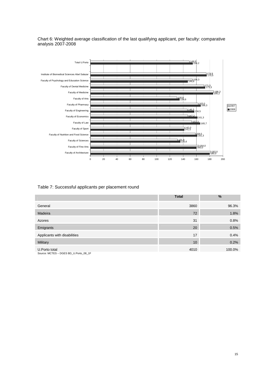Chart 6: Weighted average classification of the last qualifying applicant, per faculty: comparative analysis 2007-2008



#### Table 7: Successful applicants per placement round

|                                                        | <b>Total</b> | $\frac{0}{0}$ |
|--------------------------------------------------------|--------------|---------------|
| General                                                | 3860         | 96.3%         |
| Madeira                                                | 72           | 1.8%          |
| Azores                                                 | 31           | 0.8%          |
| Emigrants                                              | 20           | 0.5%          |
| Applicants with disabilities                           | 17           | 0.4%          |
| Military                                               | 10           | 0.2%          |
| U.Porto total<br>Source: MCTES - DGES BD_U.Porto_08_1F | 4010         | 100.0%        |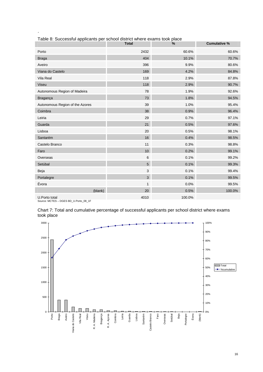|                                 | <b>Total</b> | $\%$   | <b>Cumulative %</b> |
|---------------------------------|--------------|--------|---------------------|
| Porto                           | 2432         | 60.6%  | 60.6%               |
| <b>Braga</b>                    | 404          | 10.1%  | 70.7%               |
| Aveiro                          | 396          | 9.9%   | 80.6%               |
| Viana do Castelo                | 169          | 4.2%   | 84.8%               |
| Vila Real                       | 118          | 2.9%   | 87.8%               |
| Viseu                           | 118          | 2.9%   | 90.7%               |
| Autonomous Region of Madeira    | 78           | 1.9%   | 92.6%               |
| Bragança                        | 73           | 1.8%   | 94.5%               |
| Autonomous Region of the Azores | 39           | 1.0%   | 95.4%               |
| Coimbra                         | 38           | 0.9%   | 96.4%               |
| Leiria                          | 29           | 0.7%   | 97.1%               |
| Guarda                          | 21           | 0.5%   | 97.6%               |
| Lisboa                          | 20           | 0.5%   | 98.1%               |
| Santarém                        | 16           | 0.4%   | 98.5%               |
| Castelo Branco                  | 11           | 0.3%   | 98.8%               |
| Faro                            | 10           | 0.2%   | 99.1%               |
| Overseas                        | $\,6$        | 0.1%   | 99.2%               |
| Setúbal                         | 5            | 0.1%   | 99.3%               |
| Beja                            | 3            | 0.1%   | 99.4%               |
| Portalegre                      | 3            | 0.1%   | 99.5%               |
| Évora                           | 1            | 0.0%   | 99.5%               |
| (blank)                         | 20           | 0.5%   | 100.0%              |
| U.Porto total                   | 4010         | 100.0% |                     |

| Table 8: Successful applicants per school district where exams took place |  |
|---------------------------------------------------------------------------|--|
|                                                                           |  |

Source: MCTES – DGES BD\_U.Porto\_08\_1F

 $\overline{\phantom{a}}$ 

Chart 7: Total and cumulative percentage of successful applicants per school district where exams took place

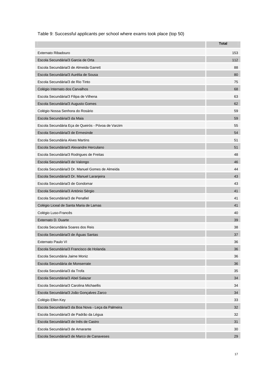Table 9: Successful applicants per school where exams took place (top 50)

|                                                    | <b>Total</b> |
|----------------------------------------------------|--------------|
| Externato Ribadouro                                | 153          |
| Escola Secundária/3 Garcia de Orta                 | 112          |
| Escola Secundária/3 de Almeida Garrett             | 88           |
| Escola Secundária/3 Aurélia de Sousa               | 80           |
| Escola Secundária/3 de Rio Tinto                   | 75           |
| Colégio Internato dos Carvalhos                    | 68           |
| Escola Secundária/3 Filipa de Vilhena              | 63           |
| Escola Secundária/3 Augusto Gomes                  | 62           |
| Colégio Nossa Senhora do Rosário                   | 59           |
| Escola Secundária/3 da Maia                        | 59           |
| Escola Secundária Eça de Queirós - Póvoa de Varzim | 55           |
| Escola Secundária/3 de Ermesinde                   | 54           |
| Escola Secundária Alves Martins                    | 51           |
| Escola Secundária/3 Alexandre Herculano            | 51           |
| Escola Secundária/3 Rodrigues de Freitas           | 48           |
| Escola Secundária/3 de Valongo                     | 46           |
| Escola Secundária/3 Dr. Manuel Gomes de Almeida    | 44           |
| Escola Secundária/3 Dr. Manuel Laranjeira          | 43           |
| Escola Secundária/3 de Gondomar                    | 43           |
| Escola Secundária/3 António Sérgio                 | 41           |
| Escola Secundária/3 de Penafiel                    | 41           |
| Colégio Liceal de Santa Maria de Lamas             | 41           |
| Colégio Luso-Francês                               | 40           |
| Externato D. Duarte                                | 39           |
| Escola Secundária Soares dos Reis                  | 38           |
| Escola Secundária/3 de Águas Santas                | 37           |
| Externato Paulo VI                                 | 36           |
| Escola Secundária/3 Francisco de Holanda           | 36           |
| Escola Secundária Jaime Moniz                      | 36           |
| Escola Secundária de Monserrate                    | 36           |
| Escola Secundária/3 da Trofa                       | 35           |
| Escola Secundária/3 Abel Salazar                   | 34           |
| Escola Secundária/3 Carolina Michaellis            | 34           |
| Escola Secundária/3 João Gonçalves Zarco           | 34           |
| Colégio Ellen Key                                  | 33           |
| Escola Secundária/3 da Boa Nova - Leça da Palmeira | 32           |
| Escola Secundária/3 de Padrão da Légua             | 32           |
| Escola Secundária/3 de Inês de Castro              | 31           |
| Escola Secundária/3 de Amarante                    | 30           |
| Escola Secundária/3 de Marco de Canaveses          | 29           |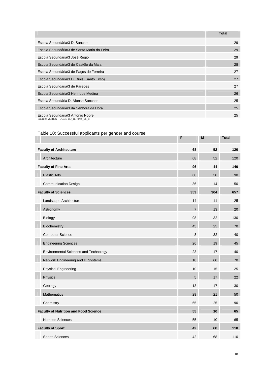|                                                                            | <b>Total</b> |
|----------------------------------------------------------------------------|--------------|
| Escola Secundária/3 D. Sancho I                                            | 29           |
| Escola Secundária/3 de Santa Maria da Feira                                | 29           |
| Escola Secundária/3 José Régio                                             | 29           |
| Escola Secundária/3 do Castêlo da Maia                                     | 28           |
| Escola Secundária/3 de Paços de Ferreira                                   | 27           |
| Escola Secundária/3 D. Dinis (Santo Tirso)                                 | 27           |
| Escola Secundária/3 de Paredes                                             | 27           |
| Escola Secundária/3 Henrique Medina                                        | 26           |
| Escola Secundária D. Afonso Sanches                                        | 25           |
| Escola Secundária/3 da Senhora da Hora                                     | 25           |
| Escola Secundária/3 António Nobre<br>Source: MCTES - DGES BD U.Porto 08 1F | 25           |

### Table 10: Successful applicants per gender and course

|                                              | F              | M   | <b>Total</b> |
|----------------------------------------------|----------------|-----|--------------|
| <b>Faculty of Architecture</b>               | 68             | 52  | 120          |
| Architecture                                 | 68             | 52  | 120          |
| <b>Faculty of Fine Arts</b>                  | 96             | 44  | 140          |
| <b>Plastic Arts</b>                          | 60             | 30  | 90           |
| <b>Communication Design</b>                  | 36             | 14  | 50           |
| <b>Faculty of Sciences</b>                   | 353            | 304 | 657          |
| Landscape Architecture                       | 14             | 11  | 25           |
| Astronomy                                    | $\overline{7}$ | 13  | 20           |
| Biology                                      | 98             | 32  | 130          |
| Biochemistry                                 | 45             | 25  | 70           |
| <b>Computer Science</b>                      | 8              | 32  | 40           |
| <b>Engineering Sciences</b>                  | 26             | 19  | 45           |
| Environmental Sciences and Technology        | 23             | 17  | 40           |
| Network Engineering and IT Systems           | 10             | 60  | 70           |
| <b>Physical Engineering</b>                  | 10             | 15  | 25           |
| Physics                                      | 5              | 17  | 22           |
| Geology                                      | 13             | 17  | 30           |
| Mathematics                                  | 29             | 21  | 50           |
| Chemistry                                    | 65             | 25  | 90           |
| <b>Faculty of Nutrition and Food Science</b> | 55             | 10  | 65           |
| <b>Nutrition Sciences</b>                    | 55             | 10  | 65           |
| <b>Faculty of Sport</b>                      | 42             | 68  | 110          |
| <b>Sports Sciences</b>                       | 42             | 68  | 110          |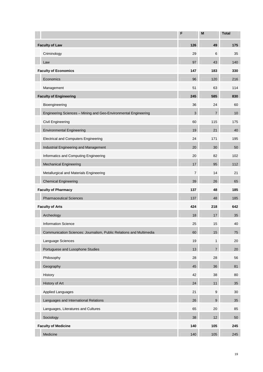|                                                                     | F              | M                | <b>Total</b> |
|---------------------------------------------------------------------|----------------|------------------|--------------|
| <b>Faculty of Law</b>                                               | 126            | 49               | 175          |
| Criminology                                                         | 29             | 6                | 35           |
| Law                                                                 | 97             | 43               | 140          |
| <b>Faculty of Economics</b>                                         | 147            | 183              | 330          |
| Economics                                                           | 96             | 120              | 216          |
| Management                                                          | 51             | 63               | 114          |
| <b>Faculty of Engineering</b>                                       | 245            | 585              | 830          |
| Bioengineering                                                      | 36             | 24               | 60           |
| Engineering Sciences - Mining and Geo-Environmental Engineering     | 3              | $\overline{7}$   | 10           |
| Civil Engineering                                                   | 60             | 115              | 175          |
| <b>Environmental Engineering</b>                                    | 19             | 21               | 40           |
| <b>Electrical and Computers Engineering</b>                         | 24             | 171              | 195          |
| Industrial Engineering and Management                               | 20             | 30               | 50           |
| Informatics and Computing Engineering                               | 20             | 82               | 102          |
| <b>Mechanical Engineering</b>                                       | 17             | 95               | 112          |
| Metallurgical and Materials Engineering                             | $\overline{7}$ | 14               | 21           |
| <b>Chemical Engineering</b>                                         | 39             | 26               | 65           |
| <b>Faculty of Pharmacy</b>                                          | 137            | 48               | 185          |
| <b>Pharmaceutical Sciences</b>                                      | 137            | 48               | 185          |
| <b>Faculty of Arts</b>                                              | 424            | 218              | 642          |
| Archeology                                                          | 18             | 17               | 35           |
| <b>Information Science</b>                                          | 25             | 15               | 40           |
| Communication Sciences: Journalism, Public Relations and Multimedia | 60             | 15               | 75           |
| Language Sciences                                                   | 19             | $\mathbf{1}$     | 20           |
| Portuguese and Lusophone Studies                                    | 13             | $\overline{7}$   | 20           |
| Philosophy                                                          | 28             | 28               | 56           |
| Geography                                                           | 45             | 36               | 81           |
| History                                                             | 42             | 38               | 80           |
| History of Art                                                      | 24             | 11               | 35           |
| <b>Applied Languages</b>                                            | 21             | $\boldsymbol{9}$ | 30           |
| Languages and International Relations                               | 26             | 9                | 35           |
| Languages, Literatures and Cultures                                 | 65             | 20               | 85           |
| Sociology                                                           | 38             | 12               | 50           |
| <b>Faculty of Medicine</b>                                          | 140            | 105              | 245          |
| Medicine                                                            | 140            | 105              | 245          |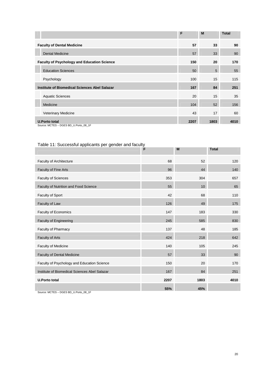|                                                    | F    | M    | <b>Total</b> |
|----------------------------------------------------|------|------|--------------|
| <b>Faculty of Dental Medicine</b>                  | 57   | 33   | 90           |
| <b>Dental Medicine</b>                             | 57   | 33   | 90           |
| <b>Faculty of Psychology and Education Science</b> | 150  | 20   | 170          |
| <b>Education Sciences</b>                          | 50   | 5    | 55           |
| Psychology                                         | 100  | 15   | 115          |
| Institute of Biomedical Sciences Abel Salazar      | 167  | 84   | 251          |
| <b>Aquatic Sciences</b>                            | 20   | 15   | 35           |
| Medicine                                           | 104  | 52   | 156          |
| <b>Veterinary Medicine</b>                         | 43   | 17   | 60           |
| <b>U.Porto total</b>                               | 2207 | 1803 | 4010         |
| Source: MCTES - DGES BD_U.Porto_08_1F              |      |      |              |

Table 11: Successful applicants per gender and faculty

|                                               | É.   | M    | <b>Total</b> |
|-----------------------------------------------|------|------|--------------|
| Faculty of Architecture                       | 68   | 52   | 120          |
| <b>Faculty of Fine Arts</b>                   | 96   | 44   | 140          |
| <b>Faculty of Sciences</b>                    | 353  | 304  | 657          |
| Faculty of Nutrition and Food Science         | 55   | 10   | 65           |
| Faculty of Sport                              | 42   | 68   | 110          |
| Faculty of Law                                | 126  | 49   | 175          |
| Faculty of Economics                          | 147  | 183  | 330          |
| <b>Faculty of Engineering</b>                 | 245  | 585  | 830          |
| Faculty of Pharmacy                           | 137  | 48   | 185          |
| Faculty of Arts                               | 424  | 218  | 642          |
| Faculty of Medicine                           | 140  | 105  | 245          |
| <b>Faculty of Dental Medicine</b>             | 57   | 33   | 90           |
| Faculty of Psychology and Education Science   | 150  | 20   | 170          |
| Institute of Biomedical Sciences Abel Salazar | 167  | 84   | 251          |
| <b>U.Porto total</b>                          | 2207 | 1803 | 4010         |
|                                               | 55%  | 45%  |              |

Source: MCTES – DGES BD\_U.Porto\_08\_1F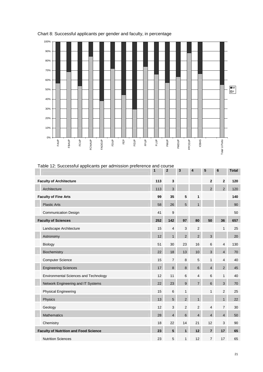

## Chart 8: Successful applicants per gender and faculty, in percentage

| Table 12: Successful applicants per admission preference and course | 1   | $\mathbf{2}$    | 3              | 4              | 5              | 6              | <b>Total</b> |
|---------------------------------------------------------------------|-----|-----------------|----------------|----------------|----------------|----------------|--------------|
| <b>Faculty of Architecture</b>                                      | 113 | $\mathbf{3}$    |                |                | $\mathbf{2}$   | $\mathbf{2}$   | 120          |
| Architecture                                                        | 113 | 3               |                |                | $\overline{2}$ | $\overline{2}$ | 120          |
| <b>Faculty of Fine Arts</b>                                         | 99  | 35              | 5              | 1              |                |                | 140          |
| <b>Plastic Arts</b>                                                 | 58  | 26              | 5              | $\mathbf{1}$   |                |                | 90           |
| <b>Communication Design</b>                                         | 41  | 9               |                |                |                |                | 50           |
| <b>Faculty of Sciences</b>                                          | 252 | 142             | 97             | 80             | 50             | 36             | 657          |
| Landscape Architecture                                              | 15  | $\overline{4}$  | 3              | $\sqrt{2}$     |                | $\mathbf{1}$   | 25           |
| Astronomy                                                           | 12  | $\mathbf{1}$    | $\overline{2}$ | $\overline{2}$ | $\mathbf{3}$   |                | 20           |
| <b>Biology</b>                                                      | 51  | 30              | 23             | 16             | 6              | 4              | 130          |
| Biochemistry                                                        | 22  | 18              | 13             | 10             | 3              | $\overline{4}$ | 70           |
| <b>Computer Science</b>                                             | 15  | $\overline{7}$  | 8              | 5              | $\mathbf{1}$   | $\overline{4}$ | 40           |
| <b>Engineering Sciences</b>                                         | 17  | $\bf 8$         | 8              | 6              | 4              | $2^{\circ}$    | 45           |
| <b>Environmental Sciences and Technology</b>                        | 12  | 11              | $\,6\,$        | $\overline{4}$ | 6              | $\mathbf{1}$   | 40           |
| Network Engineering and IT Systems                                  | 22  | 23              | 9              | $\overline{7}$ | $6\phantom{1}$ | $\mathbf{3}$   | 70           |
| <b>Physical Engineering</b>                                         | 15  | $\,6\,$         | $\mathbf{1}$   |                | 1              | 2              | 25           |
| Physics                                                             | 13  | $5\phantom{.0}$ | $\overline{2}$ | $\mathbf{1}$   |                | $\mathbf{1}$   | 22           |
| Geology                                                             | 12  | 3               | $\overline{2}$ | $\overline{2}$ | 4              | $\overline{7}$ | 30           |
| <b>Mathematics</b>                                                  | 28  | $\overline{4}$  | 6              | $\overline{4}$ | $\overline{4}$ | $\overline{4}$ | 50           |
| Chemistry                                                           | 18  | 22              | 14             | 21             | 12             | 3              | 90           |
| <b>Faculty of Nutrition and Food Science</b>                        | 23  | 5               | 1              | 12             | $\overline{7}$ | 17             | 65           |
| <b>Nutrition Sciences</b>                                           | 23  | 5               | 1              | 12             | $\overline{7}$ | 17             | 65           |

Table 12: Successful applicants per admission preference and course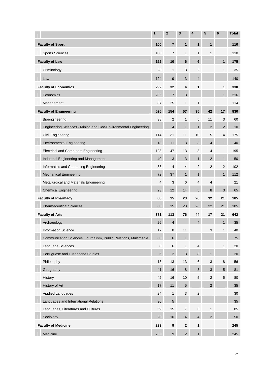|                                                                  | 1              | $\mathbf 2$      | 3                | 4                         | 5                         | $6\phantom{1}6$ | <b>Total</b> |
|------------------------------------------------------------------|----------------|------------------|------------------|---------------------------|---------------------------|-----------------|--------------|
| <b>Faculty of Sport</b>                                          | 100            | 7                | 1                | $\mathbf{1}$              | $\mathbf{1}$              |                 | 110          |
| <b>Sports Sciences</b>                                           | 100            | $\overline{7}$   | 1                | 1                         | 1                         |                 | 110          |
| <b>Faculty of Law</b>                                            | 152            | 10               | 6                | 6                         |                           | 1               | 175          |
| Criminology                                                      | 28             | $\mathbf{1}$     | 3                | $\sqrt{2}$                |                           | $\mathbf{1}$    | 35           |
| Law                                                              | 124            | 9                | 3                | $\overline{4}$            |                           |                 | 140          |
| <b>Faculty of Economics</b>                                      | 292            | 32               | 4                | 1                         |                           | 1               | 330          |
| Economics                                                        | 205            | $\overline{7}$   | 3                |                           |                           | 1               | 216          |
| Management                                                       | 87             | 25               | 1                | $\mathbf{1}$              |                           |                 | 114          |
| <b>Faculty of Engineering</b>                                    | 525            | 154              | 57               | 35                        | 42                        | 17              | 830          |
| Bioengineering                                                   | 38             | 2                | 1                | 5                         | 11                        | 3               | 60           |
| Engineering Sciences - Mining and Geo-Environmental Engineering  |                | $\overline{4}$   | 1                | $\mathbf{1}$              | $\overline{2}$            | $\overline{2}$  | 10           |
| Civil Engineering                                                | 114            | 31               | 11               | 10                        | 5                         | 4               | 175          |
| <b>Environmental Engineering</b>                                 | 18             | 11               | 3                | 3                         | $\overline{4}$            | $\mathbf{1}$    | 40           |
| <b>Electrical and Computers Engineering</b>                      | 128            | 47               | 13               | 3                         | 4                         |                 | 195          |
| Industrial Engineering and Management                            | 40             | 3                | 3                | $\mathbf{1}$              | 2                         | $\mathbf{1}$    | 50           |
| Informatics and Computing Engineering                            | 88             | $\overline{4}$   | $\overline{4}$   | $\overline{2}$            | $\overline{2}$            | 2               | 102          |
| <b>Mechanical Engineering</b>                                    | 72             | 37               | 1                | $\mathbf{1}$              |                           | 1               | 112          |
| Metallurgical and Materials Engineering                          | $\overline{4}$ | 3                | 6                | $\overline{4}$            | 4                         |                 | 21           |
| <b>Chemical Engineering</b>                                      | 23             | 12 <sup>2</sup>  | 14               | 5                         | 8                         | 3               | 65           |
| <b>Faculty of Pharmacy</b>                                       | 68             | 15               | 23               | 26                        | 32                        | 21              | 185          |
| <b>Pharmaceutical Sciences</b>                                   | 68             | 15               | 23               | 26                        | 32                        | 21              | 185          |
| <b>Faculty of Arts</b>                                           | 371            | 113              | 76               | 44                        | 17                        | 21              | 642          |
| Archaeology                                                      | 26             | $\overline{4}$   |                  | $\overline{4}$            |                           | 1               | 35           |
| <b>Information Science</b>                                       | 17             | 8                | 11               |                           | 3                         |                 | 40           |
| Communication Sciences: Journalism, Public Relations, Multimedia | 68             | $\,6$            | $\mathbf{1}$     |                           |                           |                 | 75           |
| Language Sciences                                                | $\,8\,$        | $\,6$            | 1                | 4                         |                           | 1               | 20           |
| Portuguese and Lusophone Studies                                 | 6              | $2^{\circ}$      | 3                | 8                         | $\mathbf{1}$              |                 | 20           |
| Philosophy                                                       | 13             | 13               | 13               | 6                         | $\ensuremath{\mathsf{3}}$ | 8               | 56           |
| Geography                                                        | 41             | 16               | 8                | $\bf 8$                   | $\mathbf{3}$              | $5\phantom{.0}$ | 81           |
| History                                                          | 42             | 16               | 10               | 5                         | $\sqrt{2}$                | 5               | 80           |
| History of Art                                                   | 17             | 11               | 5                |                           | $\overline{2}$            |                 | 35           |
| <b>Applied Languages</b>                                         | 24             | $\mathbf{1}$     | 3                | $\overline{2}$            |                           |                 | 30           |
| Languages and International Relations                            | 30             | $\overline{5}$   |                  |                           |                           |                 | 35           |
| Languages, Literatures and Cultures                              | 59             | 15               | $\boldsymbol{7}$ | $\ensuremath{\mathsf{3}}$ | $\mathbf{1}$              |                 | 85           |
| Sociology                                                        | 20             | $10\,$           | 14               | $\overline{4}$            | $\overline{2}$            |                 | 50           |
| <b>Faculty of Medicine</b>                                       | 233            | $\boldsymbol{9}$ | 2                | 1                         |                           |                 | 245          |
| Medicine                                                         | 233            | $\boldsymbol{9}$ | 2 <sup>1</sup>   | $\mathbf{1}$              |                           |                 | 245          |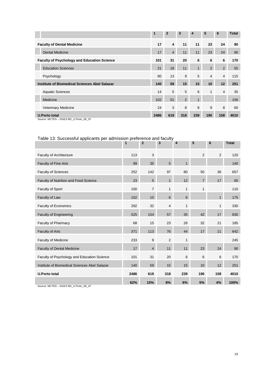|                                                               | 1    | $\overline{2}$          | 3           | 4            | 5              | 6              | <b>Total</b> |
|---------------------------------------------------------------|------|-------------------------|-------------|--------------|----------------|----------------|--------------|
| <b>Faculty of Dental Medicine</b>                             | 17   | $\overline{\mathbf{4}}$ | 11          | 11           | 23             | 24             | 90           |
| <b>Dental Medicine</b>                                        | 17   | $\overline{4}$          | 11          | 11           | 23             | 24             | 90           |
| <b>Faculty of Psychology and Education Science</b>            | 101  | 31                      | 20          | 6            | 6              | 6              | 170          |
| <b>Education Sciences</b>                                     | 21   | 18                      | 11          | $\mathbf{1}$ | $\overline{2}$ | $\overline{2}$ | 55           |
| Psychology                                                    | 80   | 13                      | 9           | 5            | $\overline{4}$ | $\overline{4}$ | 115          |
| <b>Institute of Biomedical Sciences Abel Salazar</b>          | 140  | 59                      | 15          | 15           | 10             | 12             | 251          |
| <b>Aquatic Sciences</b>                                       | 14   | 5                       | 5           | 6            | $\mathbf{1}$   | $\overline{4}$ | 35           |
| Medicine                                                      | 102  | 51                      | $2^{\circ}$ | $\mathbf{1}$ |                |                | 156          |
| <b>Veterinary Medicine</b>                                    | 24   | 3                       | 8           | 8            | 9              | 8              | 60           |
| <b>U.Porto total</b><br>Source: MCTES - DGES BD_U.Porto_08_1F | 2486 | 619                     | 318         | 239          | 190            | 158            | 4010         |

## Table 13: Successful applicants per admission preference and faculty

|                                               | 1    | $\mathbf{2}$   | 3              | 4            | 5              | 6              | <b>Total</b> |
|-----------------------------------------------|------|----------------|----------------|--------------|----------------|----------------|--------------|
| <b>Faculty of Architecture</b>                | 113  | 3              |                |              | 2              | 2              | 120          |
| <b>Faculty of Fine Arts</b>                   | 99   | 35             | 5              | $\mathbf{1}$ |                |                | 140          |
| <b>Faculty of Sciences</b>                    | 252  | 142            | 97             | 80           | 50             | 36             | 657          |
| Faculty of Nutrition and Food Science         | 23   | 5              | $\mathbf{1}$   | 12           | $\overline{7}$ | 17             | 65           |
| Faculty of Sport                              | 100  | $\overline{7}$ | $\mathbf{1}$   | $\mathbf{1}$ | $\mathbf{1}$   |                | 110          |
| Faculty of Law                                | 152  | 10             | 6              | 6            |                | 1              | 175          |
| Faculty of Economics                          | 292  | 32             | 4              | 1            |                | 1              | 330          |
| <b>Faculty of Engineering</b>                 | 525  | 154            | 57             | 35           | 42             | 17             | 830          |
| Faculty of Pharmacy                           | 68   | 15             | 23             | 26           | 32             | 21             | 185          |
| Faculty of Arts                               | 371  | 113            | 76             | 44           | 17             | 21             | 642          |
| <b>Faculty of Medicine</b>                    | 233  | 9              | $\overline{2}$ | $\mathbf{1}$ |                |                | 245          |
| <b>Faculty of Dental Medicine</b>             | 17   | $\overline{4}$ | 11             | 11           | 23             | 24             | 90           |
| Faculty of Psychology and Education Science   | 101  | 31             | 20             | 6            | 6              | $6\phantom{1}$ | 170          |
| Institute of Biomedical Sciences Abel Salazar | 140  | 59             | 15             | 15           | 10             | 12             | 251          |
| <b>U.Porto total</b>                          | 2486 | 619            | 318            | 239          | 190            | 158            | 4010         |
| Course: MCTEC DCEC DD U Deste 00 4E           | 62%  | 15%            | 8%             | 6%           | 5%             | 4%             | 100%         |
|                                               |      |                |                |              |                |                |              |

Source: MCTES – DGES BD\_U.Porto\_08\_1F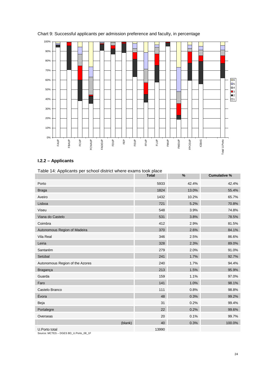

#### Chart 9: Successful applicants per admission preference and faculty, in percentage

## **I.2.2 – Applicants**

| Table 14: Applicants per school district where exams took place |              |       |                     |  |  |  |
|-----------------------------------------------------------------|--------------|-------|---------------------|--|--|--|
|                                                                 | <b>Total</b> | %     | <b>Cumulative %</b> |  |  |  |
| Porto                                                           | 5933         | 42.4% | 42.4%               |  |  |  |
| <b>Braga</b>                                                    | 1824         | 13.0% | 55.4%               |  |  |  |
| Aveiro                                                          | 1432         | 10.2% | 65.7%               |  |  |  |
| Lisboa                                                          | 721          | 5.2%  | 70.8%               |  |  |  |
| Viseu                                                           | 548          | 3.9%  | 74.8%               |  |  |  |
| Viana do Castelo                                                | 531          | 3.8%  | 78.5%               |  |  |  |
| Coimbra                                                         | 412          | 2.9%  | 81.5%               |  |  |  |
| Autonomous Region of Madeira                                    | 370          | 2.6%  | 84.1%               |  |  |  |
| Vila Real                                                       | 346          | 2.5%  | 86.6%               |  |  |  |
| Leiria                                                          | 328          | 2.3%  | 89.0%               |  |  |  |
| Santarém                                                        | 279          | 2.0%  | 91.0%               |  |  |  |
| Setúbal                                                         | 241          | 1.7%  | 92.7%               |  |  |  |
| Autonomous Region of the Azores                                 | 240          | 1.7%  | 94.4%               |  |  |  |
| Bragança                                                        | 213          | 1.5%  | 95.9%               |  |  |  |
| Guarda                                                          | 159          | 1.1%  | 97.0%               |  |  |  |
| Faro                                                            | 141          | 1.0%  | 98.1%               |  |  |  |
| Castelo Branco                                                  | 111          | 0.8%  | 98.8%               |  |  |  |
| Évora                                                           | 48           | 0.3%  | 99.2%               |  |  |  |
| Beja                                                            | 31           | 0.2%  | 99.4%               |  |  |  |
| Portalegre                                                      | 22           | 0.2%  | 99.6%               |  |  |  |
| Overseas                                                        | 20           | 0.1%  | 99.7%               |  |  |  |
| (blank)                                                         | 40           | 0.3%  | 100.0%              |  |  |  |
| U.Porto total<br>Source: MCTES - DGES BD U.Porto 08 1F          | 13990        |       |                     |  |  |  |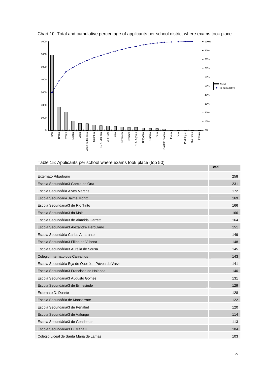

Chart 10: Total and cumulative percentage of applicants per school district where exams took place

| Table 15: Applicants per school where exams took place (top 50) |  |
|-----------------------------------------------------------------|--|
|                                                                 |  |

|                                                    | i vldi |
|----------------------------------------------------|--------|
| Externato Ribadouro                                | 258    |
| Escola Secundária/3 Garcia de Orta                 | 231    |
| Escola Secundária Alves Martins                    | 172    |
| Escola Secundária Jaime Moniz                      | 169    |
| Escola Secundária/3 de Rio Tinto                   | 166    |
| Escola Secundária/3 da Maia                        | 166    |
| Escola Secundária/3 de Almeida Garrett             | 164    |
| Escola Secundária/3 Alexandre Herculano            | 151    |
| Escola Secundária Carlos Amarante                  | 149    |
| Escola Secundária/3 Filipa de Vilhena              | 148    |
| Escola Secundária/3 Aurélia de Sousa               | 145    |
| Colégio Internato dos Carvalhos                    | 143    |
| Escola Secundária Eça de Queirós - Póvoa de Varzim | 141    |
| Escola Secundária/3 Francisco de Holanda           | 140    |
| Escola Secundária/3 Augusto Gomes                  | 131    |
| Escola Secundária/3 de Ermesinde                   | 129    |
| Externato D. Duarte                                | 128    |
| Escola Secundária de Monserrate                    | 122    |
| Escola Secundária/3 de Penafiel                    | 120    |
| Escola Secundária/3 de Valongo                     | 114    |
| Escola Secundária/3 de Gondomar                    | 113    |
| Escola Secundária/3 D. Maria II                    | 104    |
| Colégio Liceal de Santa Maria de Lamas             | 103    |

**Total**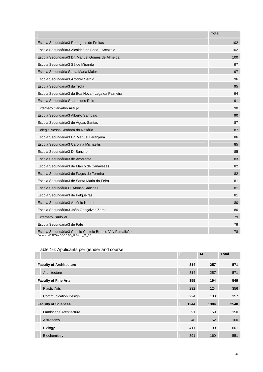|                                                                                                  | <b>Total</b> |
|--------------------------------------------------------------------------------------------------|--------------|
| Escola Secundária/3 Rodrigues de Freitas                                                         | 102          |
| Escola Secundária/3 Alcaides de Faria - Arcozelo                                                 | 102          |
| Escola Secundária/3 Dr. Manuel Gomes de Almeida                                                  | 100          |
| Escola Secundária/3 Sá de Miranda                                                                | 97           |
| Escola Secundária Santa Maria Maior                                                              | 97           |
| Escola Secundária/3 António Sérgio                                                               | 96           |
| Escola Secundária/3 da Trofa                                                                     | 95           |
| Escola Secundária/3 da Boa Nova - Leça da Palmeira                                               | 94           |
| Escola Secundária Soares dos Reis                                                                | 91           |
| Externato Carvalho Araújo                                                                        | 90           |
| Escola Secundária/3 Alberto Sampaio                                                              | 90           |
| Escola Secundária/3 de Águas Santas                                                              | 87           |
| Colégio Nossa Senhora do Rosário                                                                 | 87           |
| Escola Secundária/3 Dr. Manuel Laranjeira                                                        | 86           |
| Escola Secundária/3 Carolina Michaellis                                                          | 85           |
| Escola Secundária/3 D. Sancho I                                                                  | 85           |
| Escola Secundária/3 de Amarante                                                                  | 83           |
| Escola Secundária/3 de Marco de Canaveses                                                        | 82           |
| Escola Secundária/3 de Paços de Ferreira                                                         | 82           |
| Escola Secundária/3 de Santa Maria da Feira                                                      | 81           |
| Escola Secundária D. Afonso Sanches                                                              | 81           |
| Escola Secundária/3 de Felgueiras                                                                | 81           |
| Escola Secundária/3 António Nobre                                                                | 80           |
| Escola Secundária/3 João Gonçalves Zarco                                                         | 80           |
| <b>Externato Paulo VI</b>                                                                        | 79           |
| Escola Secundária/3 de Fafe                                                                      | 79           |
| Escola Secundária/3 Camilo Castelo Branco-V.N.Famalicão<br>Source: MCTES - DGES BD U.Porto 08 1F | 78           |

## Table 16: Applicants per gender and course

|                                | F    | M    | <b>Total</b> |
|--------------------------------|------|------|--------------|
| <b>Faculty of Architecture</b> | 314  | 257  | 571          |
| Architecture                   | 314  | 257  | 571          |
| <b>Faculty of Fine Arts</b>    | 355  | 194  | 549          |
| <b>Plastic Arts</b>            | 232  | 124  | 356          |
| <b>Communication Design</b>    | 224  | 133  | 357          |
| <b>Faculty of Sciences</b>     | 1244 | 1304 | 2548         |
| Landscape Architecture         | 91   | 59   | 150          |
| Astronomy                      | 48   | 52   | 100          |
| Biology                        | 411  | 190  | 601          |
| Biochemistry                   | 391  | 160  | 551          |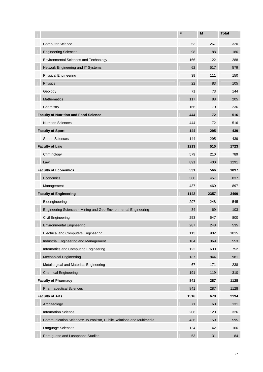|                                                                     | F    | M    | <b>Total</b> |
|---------------------------------------------------------------------|------|------|--------------|
| <b>Computer Science</b>                                             | 53   | 267  | 320          |
| <b>Engineering Sciences</b>                                         | 98   | 88   | 186          |
| Environmental Sciences and Technology                               | 166  | 122  | 288          |
| Network Engineering and IT Systems                                  | 62   | 517  | 579          |
| <b>Physical Engineering</b>                                         | 39   | 111  | 150          |
| Physics                                                             | 22   | 83   | 105          |
| Geology                                                             | 71   | 73   | 144          |
| <b>Mathematics</b>                                                  | 117  | 88   | 205          |
| Chemistry                                                           | 166  | 70   | 236          |
| <b>Faculty of Nutrition and Food Science</b>                        | 444  | 72   | 516          |
| <b>Nutrition Sciences</b>                                           | 444  | 72   | 516          |
| <b>Faculty of Sport</b>                                             | 144  | 295  | 439          |
| <b>Sports Sciences</b>                                              | 144  | 295  | 439          |
| <b>Faculty of Law</b>                                               | 1213 | 510  | 1723         |
| Criminology                                                         | 579  | 210  | 789          |
| Law                                                                 | 891  | 400  | 1291         |
| <b>Faculty of Economics</b>                                         | 531  | 566  | 1097         |
| Economics                                                           | 380  | 457  | 837          |
| Management                                                          | 437  | 460  | 897          |
| <b>Faculty of Engineering</b>                                       | 1142 | 2357 | 3499         |
| Bioengineering                                                      | 297  | 248  | 545          |
| Engineering Sciences - Mining and Geo-Environmental Engineering     | 34   | 69   | 103          |
| Civil Engineering                                                   | 253  | 547  | 800          |
| <b>Environmental Engineering</b>                                    | 287  | 248  | 535          |
| <b>Electrical and Computers Engineering</b>                         | 113  | 902  | 1015         |
| Industrial Engineering and Management                               | 184  | 369  | 553          |
| Informatics and Computing Engineering                               | 122  | 630  | 752          |
| <b>Mechanical Engineering</b>                                       | 137  | 844  | 981          |
| Metallurgical and Materials Engineering                             | 67   | 171  | 238          |
| <b>Chemical Engineering</b>                                         | 191  | 119  | 310          |
| <b>Faculty of Pharmacy</b>                                          | 841  | 287  | 1128         |
| <b>Pharmaceutical Sciences</b>                                      | 841  | 287  | 1128         |
| <b>Faculty of Arts</b>                                              | 1516 | 678  | 2194         |
| Archaeology                                                         | 71   | 60   | 131          |
| Information Science                                                 | 206  | 120  | 326          |
| Communication Sciences: Journalism, Public Relations and Multimedia | 436  | 159  | 595          |
| Language Sciences                                                   | 124  | 42   | 166          |
| Portuguese and Lusophone Studies                                    | 53   | 31   | 84           |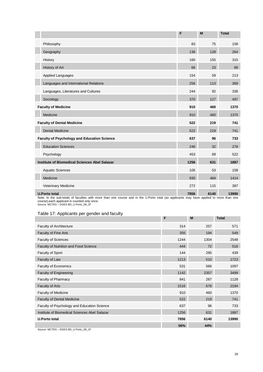|                                                      | F    | M    | <b>Total</b> |
|------------------------------------------------------|------|------|--------------|
| Philosophy                                           | 83   | 75   | 158          |
| Geography                                            | 136  | 128  | 264          |
| History                                              | 160  | 155  | 315          |
| History of Art                                       | 66   | 23   | 89           |
| <b>Applied Languages</b>                             | 154  | 59   | 213          |
| Languages and International Relations                | 256  | 113  | 369          |
| Languages, Literatures and Cultures                  | 244  | 92   | 336          |
| Sociology                                            | 370  | 127  | 497          |
| <b>Faculty of Medicine</b>                           | 910  | 460  | 1370         |
| Medicine                                             | 910  | 460  | 1370         |
| <b>Faculty of Dental Medicine</b>                    | 522  | 219  | 741          |
| <b>Dental Medicine</b>                               | 522  | 219  | 741          |
| <b>Faculty of Psychology and Education Science</b>   | 637  | 96   | 733          |
| <b>Education Sciences</b>                            | 246  | 32   | 278          |
| Psychology                                           | 453  | 69   | 522          |
| <b>Institute of Biomedical Sciences Abel Salazar</b> | 1256 | 631  | 1887         |
| <b>Aquatic Sciences</b>                              | 105  | 53   | 158          |
| Medicine                                             | 930  | 484  | 1414         |
| Veterinary Medicine                                  | 272  | 115  | 387          |
| <b>U.Porto total</b>                                 | 7856 | 6140 | 13990        |

Note: In the sub-totals of faculties with more than one course and in the U.Porto total (as applicants may have applied to more than one course),each applicant is counted only once. Source: MCTES – DGES BD\_U.Porto\_08\_1F

#### Table 17: Applicants per gender and faculty

|                                               | F    | M    | <b>Total</b> |
|-----------------------------------------------|------|------|--------------|
| Faculty of Architecture                       | 314  | 257  | 571          |
| <b>Faculty of Fine Arts</b>                   | 355  | 194  | 549          |
| <b>Faculty of Sciences</b>                    | 1244 | 1304 | 2548         |
| Faculty of Nutrition and Food Science         | 444  | 72   | 516          |
| Faculty of Sport                              | 144  | 295  | 439          |
| Faculty of Law                                | 1213 | 510  | 1723         |
| Faculty of Economics                          | 531  | 566  | 1097         |
| <b>Faculty of Engineering</b>                 | 1142 | 2357 | 3499         |
| Faculty of Pharmacy                           | 841  | 287  | 1128         |
| <b>Faculty of Arts</b>                        | 1516 | 678  | 2194         |
| <b>Faculty of Medicine</b>                    | 910  | 460  | 1370         |
| <b>Faculty of Dental Medicine</b>             | 522  | 219  | 741          |
| Faculty of Psychology and Education Science   | 637  | 96   | 733          |
| Institute of Biomedical Sciences Abel Salazar | 1256 | 631  | 1887         |
| <b>U.Porto total</b>                          | 7856 | 6140 | 13990        |
|                                               | 56%  | 44%  |              |

Source: MCTES – DGES BD\_U.Porto\_08\_1F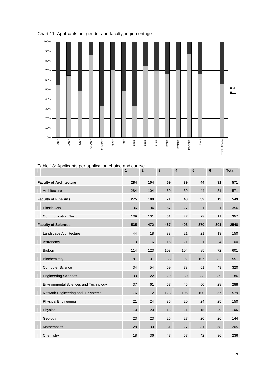

## Chart 11: Applicants per gender and faculty, in percentage

| Table 18: Applicants per application choice and course |     |                |     |                         |     |     |              |
|--------------------------------------------------------|-----|----------------|-----|-------------------------|-----|-----|--------------|
|                                                        | 1   | $\mathbf{2}$   | 3   | $\overline{\mathbf{4}}$ | 5   | 6   | <b>Total</b> |
| <b>Faculty of Architecture</b>                         | 284 | 104            | 69  | 39                      | 44  | 31  | 571          |
| Architecture                                           | 284 | 104            | 69  | 39                      | 44  | 31  | 571          |
| <b>Faculty of Fine Arts</b>                            | 275 | 109            | 71  | 43                      | 32  | 19  | 549          |
| <b>Plastic Arts</b>                                    | 136 | 94             | 57  | 27                      | 21  | 21  | 356          |
| <b>Communication Design</b>                            | 139 | 101            | 51  | 27                      | 28  | 11  | 357          |
| <b>Faculty of Sciences</b>                             | 535 | 472            | 467 | 403                     | 370 | 301 | 2548         |
| Landscape Architecture                                 | 44  | 18             | 33  | 21                      | 21  | 13  | 150          |
| Astronomy                                              | 13  | $6\phantom{1}$ | 15  | 21                      | 21  | 24  | 100          |
| Biology                                                | 114 | 123            | 103 | 104                     | 85  | 72  | 601          |
| Biochemistry                                           | 81  | 101            | 88  | 92                      | 107 | 82  | 551          |
| <b>Computer Science</b>                                | 34  | 54             | 59  | 73                      | 51  | 49  | 320          |
| <b>Engineering Sciences</b>                            | 33  | 22             | 29  | 30                      | 33  | 39  | 186          |
| Environmental Sciences and Technology                  | 37  | 61             | 67  | 45                      | 50  | 28  | 288          |
| Network Engineering and IT Systems                     | 76  | 112            | 128 | 106                     | 100 | 57  | 579          |
| <b>Physical Engineering</b>                            | 21  | 24             | 36  | 20                      | 24  | 25  | 150          |
| Physics                                                | 13  | 23             | 13  | 21                      | 15  | 20  | 105          |
| Geology                                                | 23  | 23             | 25  | 27                      | 20  | 26  | 144          |
| <b>Mathematics</b>                                     | 28  | 30             | 31  | 27                      | 31  | 58  | 205          |
| Chemistry                                              | 18  | 36             | 47  | 57                      | 42  | 36  | 236          |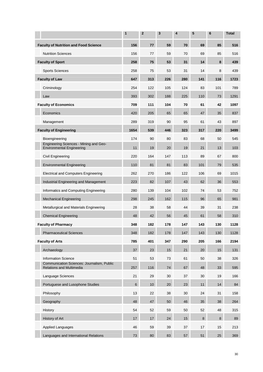|                                                                               | 1               | $\mathbf{2}$ | 3   | $\overline{\mathbf{4}}$ | 5       | 6           | <b>Total</b> |
|-------------------------------------------------------------------------------|-----------------|--------------|-----|-------------------------|---------|-------------|--------------|
| <b>Faculty of Nutrition and Food Science</b>                                  | 156             | 77           | 59  | 70                      | 69      | 85          | 516          |
| <b>Nutrition Sciences</b>                                                     | 156             | 77           | 59  | 70                      | 69      | 85          | 516          |
| <b>Faculty of Sport</b>                                                       | 258             | 75           | 53  | 31                      | 14      | 8           | 439          |
| <b>Sports Sciences</b>                                                        | 258             | 75           | 53  | 31                      | 14      | 8           | 439          |
| <b>Faculty of Law</b>                                                         | 647             | 313          | 226 | 280                     | 141     | 116         | 1723         |
| Criminology                                                                   | 254             | 122          | 105 | 124                     | 83      | 101         | 789          |
| Law                                                                           | 393             | 302          | 188 | 225                     | 110     | 73          | 1291         |
| <b>Faculty of Economics</b>                                                   | 709             | 111          | 104 | 70                      | 61      | 42          | 1097         |
| Economics                                                                     | 420             | 205          | 65  | 65                      | 47      | 35          | 837          |
| Management                                                                    | 289             | 319          | 90  | 95                      | 61      | 43          | 897          |
| <b>Faculty of Engineering</b>                                                 | 1654            | 539          | 446 | 323                     | 317     | 220         | 3499         |
| Bioengineering                                                                | 174             | 90           | 80  | 83                      | 68      | 50          | 545          |
| Engineering Sciences - Mining and Geo-<br><b>Environmental Engineering</b>    | 11              | 19           | 20  | 19                      | 21      | 13          | 103          |
| Civil Engineering                                                             | 220             | 164          | 147 | 113                     | 89      | 67          | 800          |
| <b>Environmental Engineering</b>                                              | 110             | 81           | 81  | 83                      | 101     | 79          | 535          |
| <b>Electrical and Computers Engineering</b>                                   | 262             | 270          | 186 | 122                     | 106     | 69          | 1015         |
| Industrial Engineering and Management                                         | 223             | 82           | 107 | 43                      | 62      | 36          | 553          |
| Informatics and Computing Engineering                                         | 280             | 139          | 104 | 102                     | 74      | 53          | 752          |
| <b>Mechanical Engineering</b>                                                 | 298             | 245          | 162 | 115                     | 96      | 65          | 981          |
| Metallurgical and Materials Engineering                                       | 28              | 38           | 58  | 44                      | 39      | 31          | 238          |
| <b>Chemical Engineering</b>                                                   | 48              | 42           | 56  | 45                      | 61      | 58          | 310          |
| <b>Faculty of Pharmacy</b>                                                    | 348             | 182          | 178 | 147                     | 143     | 130         | 1128         |
| <b>Pharmaceutical Sciences</b>                                                | 348             | 182          | 178 | 147                     | 143     | 130         | 1128         |
| <b>Faculty of Arts</b>                                                        | 785             | 401          | 347 | 290                     | 205     | 166         | 2194         |
| Archaeology                                                                   | 37              | 23           | 15  | 21                      | 20      | 15          | 131          |
| <b>Information Science</b>                                                    | 51              | 53           | 73  | 61                      | 50      | 38          | 326          |
| Communication Sciences: Journalism, Public<br><b>Relations and Multimedia</b> | 257             | 116          | 74  | 67                      | 48      | 33          | 595          |
| Language Sciences                                                             | 21              | 29           | 30  | 37                      | 30      | 19          | 166          |
| Portuguese and Lusophone Studies                                              | $6\phantom{1}6$ | $10$         | 20  | 23                      | 11      | 14          | 84           |
| Philosophy                                                                    | 13              | 22           | 38  | 30                      | 24      | 31          | 158          |
| Geography                                                                     | 48              | 47           | 50  | 46                      | 35      | 38          | 264          |
| History                                                                       | 54              | 52           | 59  | 50                      | 52      | 48          | 315          |
| History of Art                                                                | 17              | 17           | 24  | 15                      | $\bf 8$ | $\,$ 8 $\,$ | 89           |
| <b>Applied Languages</b>                                                      | 46              | 59           | 39  | 37                      | 17      | 15          | 213          |
| Languages and International Relations                                         | 73              | 80           | 83  | 57                      | 51      | 25          | 369          |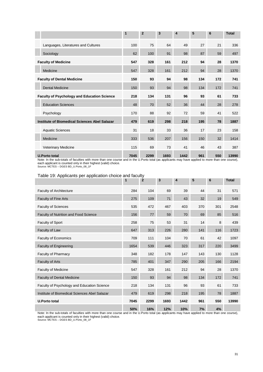|                                                    | 1    | $\overline{2}$ | 3    | $\overline{4}$ | 5   | 6   | <b>Total</b> |
|----------------------------------------------------|------|----------------|------|----------------|-----|-----|--------------|
| Languages, Literatures and Cultures                | 100  | 75             | 64   | 49             | 27  | 21  | 336          |
| Sociology                                          | 62   | 100            | 91   | 98             | 87  | 59  | 497          |
| <b>Faculty of Medicine</b>                         | 547  | 328            | 161  | 212            | 94  | 28  | 1370         |
| Medicine                                           | 547  | 328            | 161  | 212            | 94  | 28  | 1370         |
| <b>Faculty of Dental Medicine</b>                  | 150  | 93             | 94   | 98             | 134 | 172 | 741          |
| <b>Dental Medicine</b>                             | 150  | 93             | 94   | 98             | 134 | 172 | 741          |
| <b>Faculty of Psychology and Education Science</b> | 218  | 134            | 131  | 96             | 93  | 61  | 733          |
| <b>Education Sciences</b>                          | 48   | 70             | 52   | 36             | 44  | 28  | 278          |
| Psychology                                         | 170  | 88             | 92   | 72             | 59  | 41  | 522          |
| Institute of Biomedical Sciences Abel Salazar      | 479  | 619            | 298  | 218            | 195 | 78  | 1887         |
| <b>Aquatic Sciences</b>                            | 31   | 18             | 33   | 36             | 17  | 23  | 158          |
| Medicine                                           | 333  | 536            | 207  | 156            | 150 | 32  | 1414         |
| Veterinary Medicine                                | 115  | 69             | 73   | 41             | 46  | 43  | 387          |
| <b>U.Porto total</b>                               | 7045 | 2299           | 1693 | 1442           | 961 | 550 | 13990        |

Note: In the sub-totals of faculties with more than one course and in the U.Porto total (as applicants may have applied to more than one course), each applicant is counted only in their highest (valid) choice. Source: MCTES – DGES BD\_U.Porto\_08\_1F

#### Table 19: Applicants per application choice and faculty

|                                               | $\mathbf{1}$ | $\overline{2}$ | 3    | 4    | 5   | $6\phantom{1}6$ | <b>Total</b> |
|-----------------------------------------------|--------------|----------------|------|------|-----|-----------------|--------------|
| <b>Faculty of Architecture</b>                | 284          | 104            | 69   | 39   | 44  | 31              | 571          |
| <b>Faculty of Fine Arts</b>                   | 275          | 109            | 71   | 43   | 32  | 19              | 549          |
| <b>Faculty of Sciences</b>                    | 535          | 472            | 467  | 403  | 370 | 301             | 2548         |
| <b>Faculty of Nutrition and Food Science</b>  | 156          | 77             | 59   | 70   | 69  | 85              | 516          |
| <b>Faculty of Sport</b>                       | 258          | 75             | 53   | 31   | 14  | 8               | 439          |
| Faculty of Law                                | 647          | 313            | 226  | 280  | 141 | 116             | 1723         |
| Faculty of Economics                          | 709          | 111            | 104  | 70   | 61  | 42              | 1097         |
| <b>Faculty of Engineering</b>                 | 1654         | 539            | 446  | 323  | 317 | 220             | 3499         |
| Faculty of Pharmacy                           | 348          | 182            | 178  | 147  | 143 | 130             | 1128         |
| <b>Faculty of Arts</b>                        | 785          | 401            | 347  | 290  | 205 | 166             | 2194         |
| <b>Faculty of Medicine</b>                    | 547          | 328            | 161  | 212  | 94  | 28              | 1370         |
| <b>Faculty of Dental Medicine</b>             | 150          | 93             | 94   | 98   | 134 | 172             | 741          |
| Faculty of Psychology and Education Science   | 218          | 134            | 131  | 96   | 93  | 61              | 733          |
| Institute of Biomedical Sciences Abel Salazar | 479          | 619            | 298  | 218  | 195 | 78              | 1887         |
| <b>U.Porto total</b>                          | 7045         | 2299           | 1693 | 1442 | 961 | 550             | 13990        |
|                                               | 50%          | 16%            | 12%  | 10%  | 7%  | 4%              |              |

Note: In the sub-totals of faculties with more than one course and in the U.Porto total (as applicants may have applied to more than one course), each applicant is counted only in their highest (valid) choice. Source: MCTES – DGES BD\_U.Porto\_08\_1F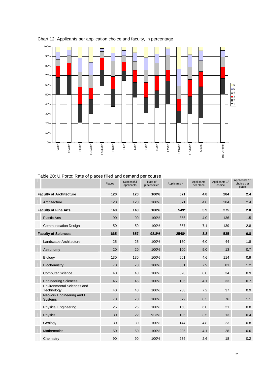

## Chart 12: Applicants per application choice and faculty, in percentage

| Table 20: U. Porto: Rate of places filled and demand per course |  |  |  |
|-----------------------------------------------------------------|--|--|--|
|                                                                 |  |  |  |

|                                                 | Places | Successful<br>applicants | Rate of<br>places filled | Applicants * | Applicants<br>per place | Applicants 1 <sup>st</sup><br>choice | Applicants 1 <sup>st</sup><br>choice per<br>place |
|-------------------------------------------------|--------|--------------------------|--------------------------|--------------|-------------------------|--------------------------------------|---------------------------------------------------|
| <b>Faculty of Architecture</b>                  | 120    | 120                      | 100%                     | 571          | 4.8                     | 284                                  | 2.4                                               |
| Architecture                                    | 120    | 120                      | 100%                     | 571          | 4.8                     | 284                                  | 2.4                                               |
| <b>Faculty of Fine Arts</b>                     | 140    | 140                      | 100%                     | 549*         | 3.9                     | 275                                  | 2.0                                               |
| <b>Plastic Arts</b>                             | 90     | 90                       | 100%                     | 356          | 4.0                     | 136                                  | 1.5                                               |
| <b>Communication Design</b>                     | 50     | 50                       | 100%                     | 357          | 7.1                     | 139                                  | 2.8                                               |
| <b>Faculty of Sciences</b>                      | 665    | 657                      | 98.8%                    | 2548*        | 3.8                     | 535                                  | 0.8                                               |
| Landscape Architecture                          | 25     | 25                       | 100%                     | 150          | 6.0                     | 44                                   | 1.8                                               |
| Astronomy                                       | 20     | 20                       | 100%                     | 100          | 5.0                     | 13                                   | 0.7                                               |
| <b>Biology</b>                                  | 130    | 130                      | 100%                     | 601          | 4.6                     | 114                                  | 0.9                                               |
| Biochemistry                                    | 70     | 70                       | 100%                     | 551          | 7.9                     | 81                                   | 1.2                                               |
| <b>Computer Science</b>                         | 40     | 40                       | 100%                     | 320          | 8.0                     | 34                                   | 0.9                                               |
| <b>Engineering Sciences</b>                     | 45     | 45                       | 100%                     | 186          | 4.1                     | 33                                   | 0.7                                               |
| <b>Environmental Sciences and</b><br>Technology | 40     | 40                       | 100%                     | 288          | 7.2                     | 37                                   | 0.9                                               |
| Network Engineering and IT<br>Systems           | 70     | 70                       | 100%                     | 579          | 8.3                     | 76                                   | 1.1                                               |
| <b>Physical Engineering</b>                     | 25     | 25                       | 100%                     | 150          | 6.0                     | 21                                   | 0.8                                               |
| Physics                                         | 30     | 22                       | 73.3%                    | 105          | 3.5                     | 13                                   | 0.4                                               |
| Geology                                         | 30     | 30                       | 100%                     | 144          | 4.8                     | 23                                   | 0.8                                               |
| <b>Mathematics</b>                              | 50     | 50                       | 100%                     | 205          | 4.1                     | 28                                   | 0.6                                               |
| Chemistry                                       | 90     | 90                       | 100%                     | 236          | 2.6                     | 18                                   | 0.2                                               |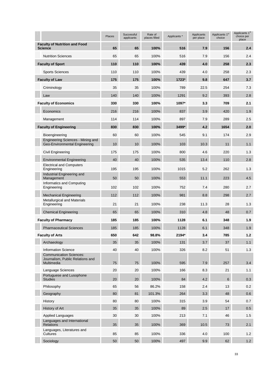|                                                                    | Places          | Successful<br>applicants | Rate of<br>places filled | Applicants * | Applicants<br>per place | Applicants 1 <sup>st</sup><br>choice | Applicants 1 <sup>st</sup><br>choice per<br>place |
|--------------------------------------------------------------------|-----------------|--------------------------|--------------------------|--------------|-------------------------|--------------------------------------|---------------------------------------------------|
| <b>Faculty of Nutrition and Food</b><br><b>Science</b>             | 65              | 65                       | 100%                     | 516          | 7.9                     | 156                                  | 2.4                                               |
| <b>Nutrition Sciences</b>                                          | 65              | 65                       | 100%                     | 516          | 7.9                     | 156                                  | 2.4                                               |
| <b>Faculty of Sport</b>                                            | 110             | 110                      | 100%                     | 439          | 4.0                     | 258                                  | 2.3                                               |
| <b>Sports Sciences</b>                                             | 110             | 110                      | 100%                     | 439          | 4.0                     | 258                                  | 2.3                                               |
| <b>Faculty of Law</b>                                              | 175             | 175                      | 100%                     | 1723*        | 9.8                     | 647                                  | 3.7                                               |
| Criminology                                                        | 35              | 35                       | 100%                     | 789          | 22.5                    | 254                                  | 7.3                                               |
| Law                                                                | 140             | 140                      | 100%                     | 1291         | 9.2                     | 393                                  | 2.8                                               |
| <b>Faculty of Economics</b>                                        | 330             | 330                      | 100%                     | 1097*        | 3.3                     | 709                                  | 2.1                                               |
| Economics                                                          | 216             | 216                      | 100%                     | 837          | 3.9                     | 420                                  | 1.9                                               |
| Management                                                         | 114             | 114                      | 100%                     | 897          | 7.9                     | 289                                  | 2.5                                               |
| <b>Faculty of Engineering</b>                                      | 830             | 830                      | 100%                     | 3499*        | 4.2                     | 1654                                 | 2.0                                               |
| Bioengineering                                                     | 60              | 60                       | 100%                     | 545          | 9.1                     | 174                                  | 2.9                                               |
| Engineering Sciences - Mining and<br>Geo-Environmental Engineering | 10              | 10                       | 100%                     | 103          | 10.3                    | 11                                   | 1.1                                               |
| Civil Engineering                                                  | 175             | 175                      | 100%                     | 800          | 4.6                     | 220                                  | 1.3                                               |
| <b>Environmental Engineering</b>                                   | 40              | 40                       | 100%                     | 535          | 13.4                    | 110                                  | 2.8                                               |
| <b>Electrical and Computers</b><br>Engineering                     | 195             | 195                      | 100%                     | 1015         | 5.2                     | 262                                  | 1.3                                               |
| Industrial Engineering and<br>Management                           | 50              | 50                       | 100%                     | 553          | 11.1                    | 223                                  | 4.5                                               |
| Informatics and Computing<br>Engineering                           | 102             | 102                      | 100%                     | 752          | 7.4                     | 280                                  | 2.7                                               |
| <b>Mechanical Engineering</b>                                      | 112             | 112                      | 100%                     | 981          | 8.8                     | 298                                  | 2.7                                               |
| <b>Metallurgical and Materials</b><br>Engineering                  | 21              | 21                       | 100%                     | 238          | 11.3                    | 28                                   | 1.3                                               |
| <b>Chemical Engineering</b>                                        | 65              | 65                       | 100%                     | 310          | 4.8                     | 48                                   | 0.7                                               |
| <b>Faculty of Pharmacy</b>                                         | 185             | 185                      | 100%                     | 1128         | 6.1                     | 348                                  | 1.9                                               |
| <b>Pharmaceutical Sciences</b>                                     | 185             | 185                      | 100%                     | 1128         | 6.1                     | 348                                  | 1.9                                               |
| <b>Faculty of Arts</b>                                             | 650             | 642                      | 98.8%                    | 2194*        | 3.4                     | 785                                  | $1.2$                                             |
| Archaeology                                                        | 35              | 35                       | 100%                     | 131          | 3.7                     | 37                                   | 1.1                                               |
| <b>Information Science</b>                                         | 40              | 40                       | 100%                     | 326          | 8.2                     | 51                                   | 1.3                                               |
| <b>Communication Sciences:</b><br>Journalism, Public Relations and |                 |                          |                          |              |                         |                                      |                                                   |
| Multimedia                                                         | 75              | 75                       | 100%                     | 595          | 7.9                     | 257                                  | 3.4                                               |
| Language Sciences                                                  | 20              | 20                       | 100%                     | 166          | 8.3                     | 21                                   | 1.1                                               |
| Portuguese and Lusophone<br><b>Studies</b>                         | 20              | 20                       | 100%                     | 84           | 4.2                     | 6                                    | 0.3                                               |
| Philosophy                                                         | 65              | 56                       | 86.2%                    | 158          | 2.4                     | 13                                   | 0.2                                               |
| Geography                                                          | 80              | 81                       | 101.3%                   | 264          | 3.3                     | 48                                   | 0.6                                               |
| History                                                            | 80              | 80                       | 100%                     | 315          | 3.9                     | 54                                   | 0.7                                               |
| History of Art                                                     | 35 <sup>5</sup> | 35                       | 100%                     | 89           | 2.5                     | 17                                   | 0.5                                               |
| <b>Applied Languages</b>                                           | 30              | 30                       | 100%                     | 213          | 7.1                     | 46                                   | 1.5                                               |
| Languages and International<br><b>Relations</b>                    | 35              | 35                       | 100%                     | 369          | 10.5                    | 73                                   | 2.1                                               |
| Languages, Literatures and<br>Cultures                             | 85              | 85                       | 100%                     | 336          | 4.0                     | 100                                  | 1.2                                               |
| Sociology                                                          | 50              | 50                       | 100%                     | 497          | 9.9                     | 62                                   | 1.2                                               |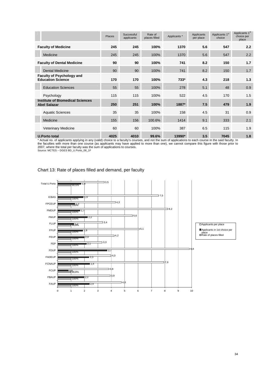|                                                                | Places | Successful<br>applicants | Rate of<br>places filled | Applicants * | Applicants<br>per place | Applicants 1 <sup>st</sup><br>choice | Applicants 1 <sup>st</sup><br>choice per<br>place |
|----------------------------------------------------------------|--------|--------------------------|--------------------------|--------------|-------------------------|--------------------------------------|---------------------------------------------------|
| <b>Faculty of Medicine</b>                                     | 245    | 245                      | 100%                     | 1370         | 5.6                     | 547                                  | 2.2                                               |
| Medicine                                                       | 245    | 245                      | 100%                     | 1370         | 5.6                     | 547                                  | 2.2                                               |
| <b>Faculty of Dental Medicine</b>                              | 90     | 90                       | 100%                     | 741          | 8.2                     | 150                                  | 1.7                                               |
| <b>Dental Medicine</b>                                         | 90     | 90                       | 100%                     | 741          | 8.2                     | 150                                  | 1.7                                               |
| <b>Faculty of Psychology and</b><br><b>Education Science</b>   | 170    | 170                      | 100%                     | $733*$       | 4.3                     | 218                                  | 1.3                                               |
| <b>Education Sciences</b>                                      | 55     | 55                       | 100%                     | 278          | 5.1                     | 48                                   | 0.9                                               |
| Psychology                                                     | 115    | 115                      | 100%                     | 522          | 4.5                     | 170                                  | 1.5                                               |
| <b>Institute of Biomedical Sciences</b><br><b>Abel Salazar</b> | 250    | 251                      | 100%                     | 1887*        | 7.5                     | 479                                  | 1.9                                               |
| <b>Aquatic Sciences</b>                                        | 35     | 35                       | 100%                     | 158          | 4.5                     | 31                                   | 0.9                                               |
| Medicine                                                       | 155    | 156                      | 100.6%                   | 1414         | 9.1                     | 333                                  | 2.1                                               |
| <b>Veterinary Medicine</b>                                     | 60     | 60                       | 100%                     | 387          | 6.5                     | 115                                  | 1.9                                               |
| <b>U.Porto total</b>                                           | 4025   | 4010                     | 99.6%                    | 13990*       | 3.5                     | 7045                                 | 1.8                                               |

\* Actual no. of applicants applying in any (valid) choice to a faculty's courses, and not the sum of applications to each course in the said faculty. In the faculties with more than one course (as applicants may have applied to more than one), we cannot compare this figure with those prior to 2007, where the total per faculty was the sum of applications to courses. Source: MCTES – DGES BD\_U.Porto\_08\_1F

Chart 13: Rate of places filled and demand, per faculty

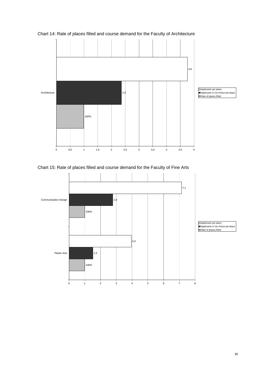

Chart 14: Rate of places filled and course demand for the Faculty of Architecture

Chart 15: Rate of places filled and course demand for the Faculty of Fine Arts

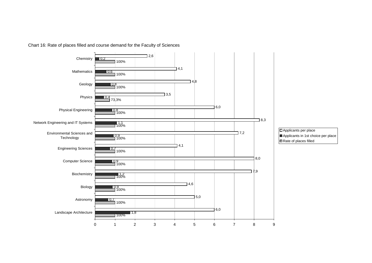

Chart 16: Rate of places filled and course demand for the Faculty of Sciences

 Applicants in 1st choice per placeRate of places filled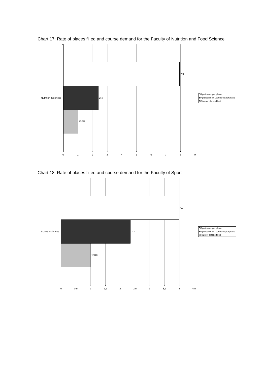

Chart 17: Rate of places filled and course demand for the Faculty of Nutrition and Food Science

Chart 18: Rate of places filled and course demand for the Faculty of Sport

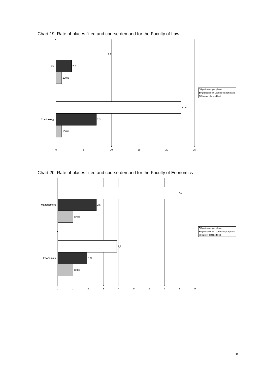

Chart 19: Rate of places filled and course demand for the Faculty of Law

Chart 20: Rate of places filled and course demand for the Faculty of Economics

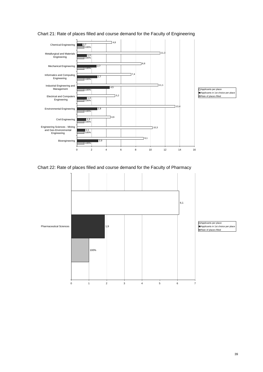

#### Chart 21: Rate of places filled and course demand for the Faculty of Engineering

Chart 22: Rate of places filled and course demand for the Faculty of Pharmacy

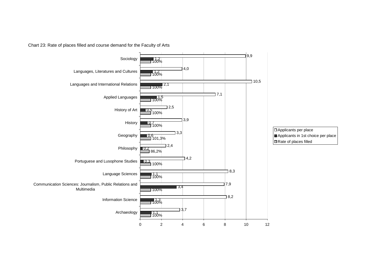Chart 23: Rate of places filled and course demand for the Faculty of Arts

![](_page_40_Figure_1.jpeg)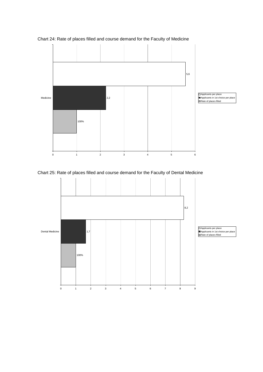![](_page_41_Figure_0.jpeg)

Chart 24: Rate of places filled and course demand for the Faculty of Medicine

Chart 25: Rate of places filled and course demand for the Faculty of Dental Medicine

![](_page_41_Figure_3.jpeg)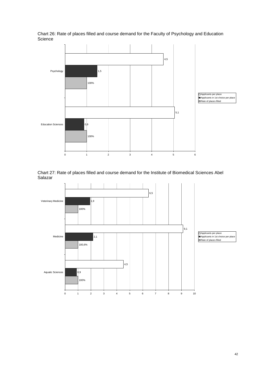Chart 26: Rate of places filled and course demand for the Faculty of Psychology and Education **Science** 

![](_page_42_Figure_1.jpeg)

Chart 27: Rate of places filled and course demand for the Institute of Biomedical Sciences Abel Salazar

![](_page_42_Figure_3.jpeg)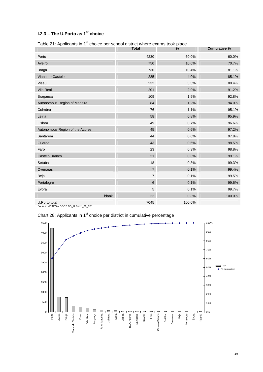## **I.2.3 – The U.Porto as 1st choice**

| Table 21: Applicants in 1 Choice per school district where exams took place | <b>Total</b>   | $\%$   | <b>Cumulative %</b> |
|-----------------------------------------------------------------------------|----------------|--------|---------------------|
| Porto                                                                       | 4230           | 60.0%  | 60.0%               |
| Aveiro                                                                      | 750            | 10.6%  | 70.7%               |
|                                                                             |                |        |                     |
| <b>Braga</b>                                                                | 730            | 10.4%  | 81.1%               |
| Viana do Castelo                                                            | 285            | 4.0%   | 85.1%               |
| Viseu                                                                       | 232            | 3.3%   | 88.4%               |
| Vila Real                                                                   | 201            | 2.9%   | 91.2%               |
| Bragança                                                                    | 109            | 1.5%   | 92.8%               |
| Autonomous Region of Madeira                                                | 84             | 1.2%   | 94.0%               |
| Coimbra                                                                     | 76             | 1.1%   | 95.1%               |
| Leiria                                                                      | 58             | 0.8%   | 95.9%               |
| Lisboa                                                                      | 49             | 0.7%   | 96.6%               |
| Autonomous Region of the Azores                                             | 45             | 0.6%   | 97.2%               |
| Santarém                                                                    | 44             | 0.6%   | 97.8%               |
| Guarda                                                                      | 43             | 0.6%   | 98.5%               |
| Faro                                                                        | 23             | 0.3%   | 98.8%               |
| Castelo Branco                                                              | 21             | 0.3%   | 99.1%               |
| Setúbal                                                                     | 18             | 0.3%   | 99.3%               |
| Overseas                                                                    | $\overline{7}$ | 0.1%   | 99.4%               |
| Beja                                                                        | $\overline{7}$ | 0.1%   | 99.5%               |
| Portalegre                                                                  | $6\phantom{a}$ | 0.1%   | 99.6%               |
| Évora                                                                       | $\mathbf 5$    | 0.1%   | 99.7%               |
| blank                                                                       | 22             | 0.3%   | 100.0%              |
| U.Porto total<br>Source: MCTES - DGES BD_U.Porto_08_1F'                     | 7045           | 100.0% |                     |

Table 21: Applicante in 1<sup>st</sup> choice per school district where exams took pla

## Chart 28: Applicants in 1<sup>st</sup> choice per district in cumulative percentage

![](_page_43_Figure_5.jpeg)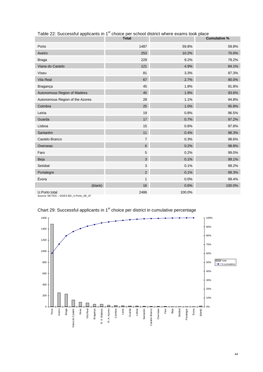|                                                        | <b>Total</b>   |        | <b>Cumulative %</b> |
|--------------------------------------------------------|----------------|--------|---------------------|
| Porto                                                  | 1487           | 59.8%  | 59.8%               |
| Aveiro                                                 | 253            | 10.2%  | 70.0%               |
| <b>Braga</b>                                           | 229            | 9.2%   | 79.2%               |
| Viana do Castelo                                       | 121            | 4.9%   | 84.1%               |
| Viseu                                                  | 81             | 3.3%   | 87.3%               |
| <b>Vila Real</b>                                       | 67             | 2.7%   | 90.0%               |
| Bragança                                               | 45             | 1.8%   | 91.8%               |
| Autonomous Region of Madeira                           | 45             | 1.8%   | 93.6%               |
| Autonomous Region of the Azores                        | 28             | 1.1%   | 94.8%               |
| Coimbra                                                | 25             | 1.0%   | 95.8%               |
| Leiria                                                 | 19             | 0.8%   | 96.5%               |
| Guarda                                                 | 17             | 0.7%   | 97.2%               |
| Lisboa                                                 | 15             | 0.6%   | 97.8%               |
| Santarém                                               | 11             | 0.4%   | 98.3%               |
| Castelo Branco                                         | $\overline{7}$ | 0.3%   | 98.6%               |
| Overseas                                               | 6              | 0.2%   | 98.8%               |
| Faro                                                   | 5              | 0.2%   | 99.0%               |
| Beja                                                   | 3              | 0.1%   | 99.1%               |
| Setúbal                                                | 3              | 0.1%   | 99.2%               |
| Portalegre                                             | $\overline{2}$ | 0.1%   | 99.3%               |
| Évora                                                  | 1              | 0.0%   | 99.4%               |
| (blank)                                                | 16             | 0.6%   | 100.0%              |
| U.Porto total<br>Source: MCTES - DGES BD_U.Porto_08_1F | 2486           | 100.0% |                     |

Table 22: Successful applicants in 1<sup>st</sup> choice per school district where exams took place

![](_page_44_Figure_3.jpeg)

Chart 29: Successful applicants in 1<sup>st</sup> choice per district in cumulative percentage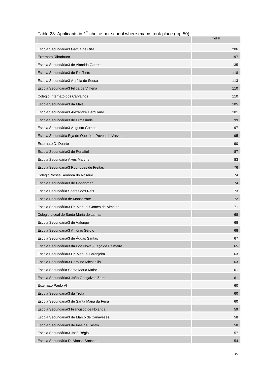|                                                    | Total |
|----------------------------------------------------|-------|
| Escola Secundária/3 Garcia de Orta                 | 206   |
| Externato Ribadouro                                | 197   |
| Escola Secundária/3 de Almeida Garrett             | 135   |
| Escola Secundária/3 de Rio Tinto                   | 118   |
| Escola Secundária/3 Aurélia de Sousa               | 113   |
| Escola Secundária/3 Filipa de Vilhena              | 110   |
| Colégio Internato dos Carvalhos                    | 110   |
| Escola Secundária/3 da Maia                        | 105   |
| Escola Secundária/3 Alexandre Herculano            | 101   |
| Escola Secundária/3 de Ermesinde                   | 99    |
| Escola Secundária/3 Augusto Gomes                  | 97    |
| Escola Secundária Eça de Queirós - Póvoa de Varzim | 95    |
| Externato D. Duarte                                | 90    |
| Escola Secundária/3 de Penafiel                    | 87    |
| Escola Secundária Alves Martins                    | 83    |
| Escola Secundária/3 Rodrigues de Freitas           | 76    |
| Colégio Nossa Senhora do Rosário                   | 74    |
| Escola Secundária/3 de Gondomar                    | 74    |
| Escola Secundária Soares dos Reis                  | 73    |
| Escola Secundária de Monserrate                    | 72    |
| Escola Secundária/3 Dr. Manuel Gomes de Almeida    | 71    |
| Colégio Liceal de Santa Maria de Lamas             | 68    |
| Escola Secundária/3 de Valongo                     | 68    |
| Escola Secundária/3 António Sérgio                 | 68    |
| Escola Secundária/3 de Águas Santas                | 67    |
| Escola Secundária/3 da Boa Nova - Leça da Palmeira | 65    |
| Escola Secundária/3 Dr. Manuel Laranjeira          | 63    |
| Escola Secundária/3 Carolina Michaellis            | 63    |
| Escola Secundária Santa Maria Maior                | 61    |
| Escola Secundária/3 João Gonçalves Zarco           | 61    |
| Externato Paulo VI                                 | 60    |
| Escola Secundária/3 da Trofa                       | 60    |
| Escola Secundária/3 de Santa Maria da Feira        | 60    |
| Escola Secundária/3 Francisco de Holanda           | 59    |
| Escola Secundária/3 de Marco de Canaveses          | 58    |
| Escola Secundária/3 de Inês de Castro              | 58    |
| Escola Secundária/3 José Régio                     | 57    |
| Escola Secundária D. Afonso Sanches                | 54    |

Table 23: Applicants in 1<sup>st</sup> choice per school where exams took place (top 50)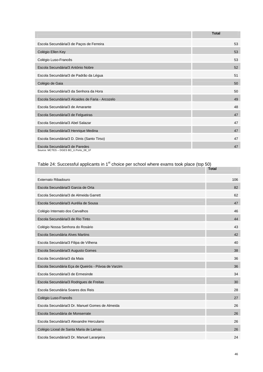|                                                                         | <b>Total</b> |
|-------------------------------------------------------------------------|--------------|
| Escola Secundária/3 de Paços de Ferreira                                | 53           |
| Colégio Ellen Key                                                       | 53           |
| Colégio Luso-Francês                                                    | 53           |
| Escola Secundária/3 António Nobre                                       | 52           |
| Escola Secundária/3 de Padrão da Légua                                  | 51           |
| Colégio de Gaia                                                         | 50           |
| Escola Secundária/3 da Senhora da Hora                                  | 50           |
| Escola Secundária/3 Alcaides de Faria - Arcozelo                        | 49           |
| Escola Secundária/3 de Amarante                                         | 48           |
| Escola Secundária/3 de Felgueiras                                       | 47           |
| Escola Secundária/3 Abel Salazar                                        | 47           |
| Escola Secundária/3 Henrique Medina                                     | 47           |
| Escola Secundária/3 D. Dinis (Santo Tirso)                              | 47           |
| Escola Secundária/3 de Paredes<br>Source: MCTES - DGES BD_U.Porto_08_1F | 47           |

#### Table 24: Successful applicants in 1<sup>st</sup> choice per school where exams took place (top 50)

|                                                    | <b>Total</b> |
|----------------------------------------------------|--------------|
| Externato Ribadouro                                | 106          |
| Escola Secundária/3 Garcia de Orta                 | 82           |
| Escola Secundária/3 de Almeida Garrett             | 62           |
| Escola Secundária/3 Aurélia de Sousa               | 47           |
| Colégio Internato dos Carvalhos                    | 46           |
| Escola Secundária/3 de Rio Tinto                   | 44           |
| Colégio Nossa Senhora do Rosário                   | 43           |
| Escola Secundária Alves Martins                    | 42           |
| Escola Secundária/3 Filipa de Vilhena              | 40           |
| Escola Secundária/3 Augusto Gomes                  | 38           |
| Escola Secundária/3 da Maia                        | 36           |
| Escola Secundária Eça de Queirós - Póvoa de Varzim | 36           |
| Escola Secundária/3 de Ermesinde                   | 34           |
| Escola Secundária/3 Rodrigues de Freitas           | 30           |
| Escola Secundária Soares dos Reis                  | 28           |
| Colégio Luso-Francês                               | 27           |
| Escola Secundária/3 Dr. Manuel Gomes de Almeida    | 26           |
| Escola Secundária de Monserrate                    | 26           |
| Escola Secundária/3 Alexandre Herculano            | 26           |
| Colégio Liceal de Santa Maria de Lamas             | 26           |
| Escola Secundária/3 Dr. Manuel Laranjeira          | 24           |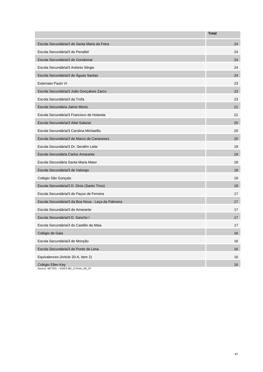|                                                            | <b>Total</b> |
|------------------------------------------------------------|--------------|
| Escola Secundária/3 de Santa Maria da Feira                | 24           |
| Escola Secundária/3 de Penafiel                            | 24           |
| Escola Secundária/3 de Gondomar                            | 24           |
| Escola Secundária/3 António Sérgio                         | 24           |
| Escola Secundária/3 de Águas Santas                        | 24           |
| Externato Paulo VI                                         | 23           |
| Escola Secundária/3 João Gonçalves Zarco                   | 23           |
| Escola Secundária/3 da Trofa                               | 23           |
| Escola Secundária Jaime Moniz                              | 21           |
| Escola Secundária/3 Francisco de Holanda                   | 21           |
| Escola Secundária/3 Abel Salazar                           | 20           |
| Escola Secundária/3 Carolina Michaellis                    | 20           |
| Escola Secundária/3 de Marco de Canaveses                  | 20           |
| Escola Secundária/3 Dr. Serafim Leite                      | 19           |
| Escola Secundária Carlos Amarante                          | 19           |
| Escola Secundária Santa Maria Maior                        | 18           |
| Escola Secundária/3 de Valongo                             | 18           |
| Colégio São Gonçalo                                        | 18           |
| Escola Secundária/3 D. Dinis (Santo Tirso)                 | 18           |
| Escola Secundária/3 de Paços de Ferreira                   | 17           |
| Escola Secundária/3 da Boa Nova - Leça da Palmeira         | 17           |
| Escola Secundária/3 de Amarante                            | 17           |
| Escola Secundária/3 D. Sancho I                            | 17           |
| Escola Secundária/3 do Castêlo da Maia                     | 17           |
| Colégio de Gaia                                            | 16           |
| Escola Secundária/3 de Monção                              | 16           |
| Escola Secundária/3 de Ponte de Lima                       | 16           |
| Equivalences (Article 20-A, item 2)                        | 16           |
| Colégio Ellen Key<br>Source: MCTES - DGES BD_U.Porto_08_1F | 16           |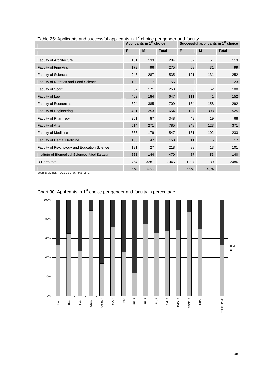|                                               |      | Applicants in 1 <sup>st</sup> choice |              |      | Successful applicants in 1 <sup>st</sup> choice |              |
|-----------------------------------------------|------|--------------------------------------|--------------|------|-------------------------------------------------|--------------|
|                                               | F    | M                                    | <b>Total</b> | F    | M                                               | <b>Total</b> |
| <b>Faculty of Architecture</b>                | 151  | 133                                  | 284          | 62   | 51                                              | 113          |
| <b>Faculty of Fine Arts</b>                   | 179  | 96                                   | 275          | 68   | 31                                              | 99           |
| <b>Faculty of Sciences</b>                    | 248  | 287                                  | 535          | 121  | 131                                             | 252          |
| <b>Faculty of Nutrition and Food Science</b>  | 139  | 17                                   | 156          | 22   | $\mathbf 1$                                     | 23           |
| Faculty of Sport                              | 87   | 171                                  | 258          | 38   | 62                                              | 100          |
| Faculty of Law                                | 463  | 184                                  | 647          | 111  | 41                                              | 152          |
| Faculty of Economics                          | 324  | 385                                  | 709          | 134  | 158                                             | 292          |
| <b>Faculty of Engineering</b>                 | 401  | 1253                                 | 1654         | 127  | 398                                             | 525          |
| Faculty of Pharmacy                           | 261  | 87                                   | 348          | 49   | 19                                              | 68           |
| <b>Faculty of Arts</b>                        | 514  | 271                                  | 785          | 248  | 123                                             | 371          |
| <b>Faculty of Medicine</b>                    | 368  | 179                                  | 547          | 131  | 102                                             | 233          |
| <b>Faculty of Dental Medicine</b>             | 103  | 47                                   | 150          | 11   | 6                                               | 17           |
| Faculty of Psychology and Education Science   | 191  | 27                                   | 218          | 88   | 13                                              | 101          |
| Institute of Biomedical Sciences Abel Salazar | 335  | 144                                  | 479          | 87   | 53                                              | 140          |
| U.Porto total                                 | 3764 | 3281                                 | 7045         | 1297 | 1189                                            | 2486         |
|                                               | 53%  | 47%                                  |              | 52%  | 48%                                             |              |

Table 25: Applicants and successful applicants in  $1<sup>st</sup>$  choice per gender and faculty

Source: MCTES – DGES BD\_U.Porto\_08\_1F

![](_page_48_Figure_3.jpeg)

## Chart 30: Applicants in 1<sup>st</sup> choice per gender and faculty in percentage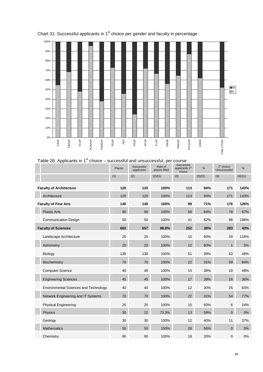![](_page_49_Figure_0.jpeg)

Chart 31: Successful applicants in 1<sup>st</sup> choice per gender and faculty in percentage

## Table 26: Applicants in  $1<sup>st</sup>$  choice – successful and unsuccessful, per course

|                                              | Places | Successful<br>applicants | Rate of<br>places filled | Successful<br>applicants 1 <sup>st</sup><br>choice | %       | $1st$ choice<br>Unsuccessful | %       |
|----------------------------------------------|--------|--------------------------|--------------------------|----------------------------------------------------|---------|------------------------------|---------|
|                                              | (1)    | (2)                      | (2)/(1)                  | (3)                                                | (3)/(2) | (4)                          | (4)/(1) |
| <b>Faculty of Architecture</b>               | 120    | 120                      | 100%                     | 113                                                | 94%     | 171                          | 143%    |
| Architecture                                 | 120    | 120                      | 100%                     | 113                                                | 94%     | 171                          | 143%    |
| <b>Faculty of Fine Arts</b>                  | 140    | 140                      | 100%                     | 99                                                 | 71%     | 176                          | 126%    |
| <b>Plastic Arts</b>                          | 90     | 90                       | 100%                     | 58                                                 | 64%     | 78                           | 87%     |
| <b>Communication Design</b>                  | 50     | 50                       | 100%                     | 41                                                 | 82%     | 98                           | 196%    |
| <b>Faculty of Sciences</b>                   | 665    | 657                      | 98.8%                    | 252                                                | 38%     | 283                          | 43%     |
| Landscape Architecture                       | 25     | 25                       | 100%                     | 15                                                 | 60%     | 29                           | 116%    |
| Astronomy                                    | 20     | 20                       | 100%                     | 12                                                 | 60%     | $\mathbf{1}$                 | 5%      |
| <b>Biology</b>                               | 130    | 130                      | 100%                     | 51                                                 | 39%     | 63                           | 48%     |
| Biochemistry                                 | 70     | 70                       | 100%                     | 22                                                 | 31%     | 59                           | 84%     |
| <b>Computer Science</b>                      | 40     | 40                       | 100%                     | 15                                                 | 38%     | 19                           | 48%     |
| <b>Engineering Sciences</b>                  | 45     | 45                       | 100%                     | 17                                                 | 38%     | 16                           | 36%     |
| <b>Environmental Sciences and Technology</b> | 40     | 40                       | 100%                     | 12                                                 | 30%     | 25                           | 63%     |
| Network Engineering and IT Systems           | 70     | 70                       | 100%                     | 22                                                 | 31%     | 54                           | 77%     |
| <b>Physical Engineering</b>                  | 25     | 25                       | 100%                     | 15                                                 | 60%     | 6                            | 24%     |
| Physics                                      | 30     | 22                       | 73.3%                    | 13                                                 | 59%     | $\mathbf{0}$                 | 0%      |
| Geology                                      | 30     | 30                       | 100%                     | 12                                                 | 40%     | 11                           | 37%     |
| <b>Mathematics</b>                           | 50     | 50                       | 100%                     | 28                                                 | 56%     | $\mathbf 0$                  | 0%      |
| Chemistry                                    | 90     | 90                       | 100%                     | 18                                                 | 20%     | $\pmb{0}$                    | 0%      |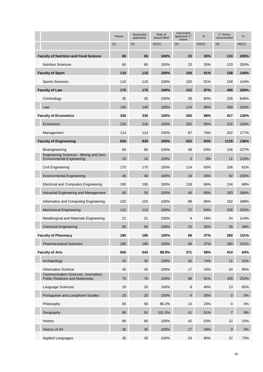|                                                                               | Places | Successful<br>applicants | Rate of<br>places filled | Successful<br>applicants 1 <sup>st</sup><br>choice | %       | $1st$ choice<br>Unsuccessful | %       |
|-------------------------------------------------------------------------------|--------|--------------------------|--------------------------|----------------------------------------------------|---------|------------------------------|---------|
|                                                                               | (1)    | (2)                      | (2)/(1)                  | (3)                                                | (3)/(2) | (4)                          | (4)/(1) |
| <b>Faculty of Nutrition and Food Science</b>                                  | 65     | 65                       | 100%                     | 23                                                 | 35%     | 133                          | 205%    |
| <b>Nutrition Sciences</b>                                                     | 65     | 65                       | 100%                     | 23                                                 | 35%     | 133                          | 205%    |
| <b>Faculty of Sport</b>                                                       | 110    | 110                      | 100%                     | 100                                                | 91%     | 158                          | 144%    |
| <b>Sports Sciences</b>                                                        | 110    | 110                      | 100%                     | 100                                                | 91%     | 158                          | 144%    |
| <b>Faculty of Law</b>                                                         | 175    | 175                      | 100%                     | 152                                                | 87%     | 495                          | 283%    |
| Criminology                                                                   | 35     | 35                       | 100%                     | 28                                                 | 80%     | 226                          | 646%    |
| Law                                                                           | 140    | 140                      | 100%                     | 124                                                | 89%     | 269                          | 192%    |
| <b>Faculty of Economics</b>                                                   | 330    | 330                      | 100%                     | 292                                                | 88%     | 417                          | 126%    |
| Economics                                                                     | 216    | 216                      | 100%                     | 205                                                | 95%     | 215                          | 100%    |
| Management                                                                    | 114    | 114                      | 100%                     | 87                                                 | 76%     | 202                          | 177%    |
| <b>Faculty of Engineering</b>                                                 | 830    | 830                      | 100%                     | 525                                                | 63%     | 1129                         | 136%    |
| Bioengineering                                                                | 60     | 60                       | 100%                     | 38                                                 | 63%     | 136                          | 227%    |
| Engineering Sciences - Mining and Geo-<br><b>Environmental Engineering</b>    | 10     | 10                       | 100%                     | $\mathbf{0}$                                       | 0%      | 11                           | 110%    |
| Civil Engineering                                                             | 175    | 175                      | 100%                     | 114                                                | 65%     | 106                          | 61%     |
| <b>Environmental Engineering</b>                                              | 40     | 40                       | 100%                     | 18                                                 | 45%     | 92                           | 230%    |
| <b>Electrical and Computers Engineering</b>                                   | 195    | 195                      | 100%                     | 128                                                | 66%     | 134                          | 69%     |
| Industrial Engineering and Management                                         | 50     | 50                       | 100%                     | 40                                                 | 80%     | 183                          | 366%    |
| Informatics and Computing Engineering                                         | 102    | 102                      | 100%                     | 88                                                 | 86%     | 192                          | 188%    |
| <b>Mechanical Engineering</b>                                                 | 112    | 112                      | 100%                     | 72                                                 | 64%     | 226                          | 202%    |
| Metallurgical and Materials Engineering                                       | 21     | 21                       | 100%                     | 4                                                  | 19%     | 24                           | 114%    |
| <b>Chemical Engineering</b>                                                   | 65     | 65                       | 100%                     | 23                                                 | 35%     | 25                           | 38%     |
| <b>Faculty of Pharmacy</b>                                                    | 185    | 185                      | 100%                     | 68                                                 | 37%     | 280                          | 151%    |
| <b>Pharmaceutical Sciences</b>                                                | 185    | 185                      | 100%                     | 68                                                 | 37%     | 280                          | 151%    |
| <b>Faculty of Arts</b>                                                        | 650    | 642                      | 98.8%                    | 371                                                | 58%     | 414                          | 64%     |
| Archaeology                                                                   | 35     | 35                       | 100%                     | 26                                                 | 74%     | 11                           | 31%     |
| <b>Information Science</b>                                                    | 40     | 40                       | 100%                     | 17                                                 | 43%     | 34                           | 85%     |
| Communication Sciences: Journalism,<br><b>Public Relations and Multimedia</b> | 75     | 75                       | 100%                     | 68                                                 | 91%     | 189                          | 252%    |
| Language Sciences                                                             | 20     | 20                       | 100%                     | 8                                                  | 40%     | 13                           | 65%     |
| Portuguese and Lusophone Studies                                              | 20     | 20                       | 100%                     | 6                                                  | 30%     | $\mathbf{0}$                 | $0\%$   |
| Philosophy                                                                    | 65     | 56                       | 86.2%                    | 13                                                 | 23%     | $\boldsymbol{0}$             | 0%      |
| Geography                                                                     | 80     | 81                       | 101.3%                   | 41                                                 | 51%     | $\overline{7}$               | 9%      |
| History                                                                       | 80     | 80                       | 100%                     | 42                                                 | 53%     | 12                           | 15%     |
| History of Art                                                                | 35     | 35                       | 100%                     | 17                                                 | 49%     | $\mathbf 0$                  | 0%      |
| <b>Applied Languages</b>                                                      | 30     | 30                       | 100%                     | 24                                                 | 80%     | 22                           | 73%     |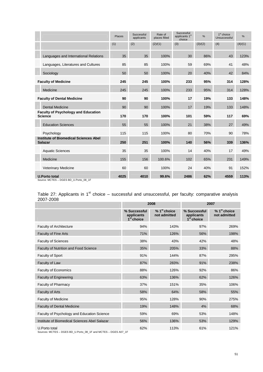|                                                                | Places | Successful<br>applicants | Successful<br>Rate of<br>applicants 1 <sup>st</sup><br>places filled<br>choice |      | 1 <sup>st</sup> choice<br>$\%$<br>Unsuccessful |      | $\%$    |
|----------------------------------------------------------------|--------|--------------------------|--------------------------------------------------------------------------------|------|------------------------------------------------|------|---------|
|                                                                | (1)    | (2)                      | (2)/(1)                                                                        | (3)  | (3)/(2)                                        | (4)  | (4)/(1) |
| Languages and International Relations                          | 35     | 35                       | 100%                                                                           | 30   | 86%                                            | 43   | 123%    |
| Languages, Literatures and Cultures                            | 85     | 85                       | 100%                                                                           | 59   | 69%                                            | 41   | 48%     |
| Sociology                                                      | 50     | 50                       | 100%                                                                           | 20   | 40%                                            | 42   | 84%     |
| <b>Faculty of Medicine</b>                                     | 245    | 245                      | 100%                                                                           | 233  | 95%                                            | 314  | 128%    |
| Medicine                                                       | 245    | 245                      | 100%                                                                           | 233  | 95%                                            | 314  | 128%    |
| <b>Faculty of Dental Medicine</b>                              | 90     | 90                       | 100%                                                                           | 17   | 19%                                            | 133  | 148%    |
| <b>Dental Medicine</b>                                         | 90     | 90                       | 100%                                                                           | 17   | 19%                                            | 133  | 148%    |
| <b>Faculty of Psychology and Education</b><br><b>Science</b>   | 170    | 170                      | 100%                                                                           | 101  | 59%                                            | 117  | 69%     |
| <b>Education Sciences</b>                                      | 55     | 55                       | 100%                                                                           | 21   | 38%                                            | 27   | 49%     |
| Psychology                                                     | 115    | 115                      | 100%                                                                           | 80   | 70%                                            | 90   | 78%     |
| <b>Institute of Biomedical Sciences Abel</b><br><b>Salazar</b> | 250    | 251                      | 100%                                                                           | 140  | 56%                                            | 339  | 136%    |
| <b>Aquatic Sciences</b>                                        | 35     | 35                       | 100%                                                                           | 14   | 40%                                            | 17   | 49%     |
| Medicine                                                       | 155    | 156                      | 100.6%                                                                         | 102  | 65%                                            | 231  | 149%    |
| <b>Veterinary Medicine</b>                                     | 60     | 60                       | 100%                                                                           | 24   | 40%                                            | 91   | 152%    |
| <b>U.Porto total</b><br>Source: MCTES - DGES BD_U.Porto_08_1F  | 4025   | 4010                     | 99.6%                                                                          | 2486 | 62%                                            | 4559 | 113%    |

#### Table 27: Applicants in 1<sup>st</sup> choice – successful and unsuccessful, per faculty: comparative analysis 2007-2008

|                                                                                 |                                            | 2008                           | 2007                                       |                                |  |  |
|---------------------------------------------------------------------------------|--------------------------------------------|--------------------------------|--------------------------------------------|--------------------------------|--|--|
|                                                                                 | % Successful<br>applicants<br>$1st$ choice | $% 1st$ choice<br>not admitted | % Successful<br>applicants<br>$1st$ choice | $% 1st$ choice<br>not admitted |  |  |
| <b>Faculty of Architecture</b>                                                  | 94%                                        | 143%                           | 97%                                        | 269%                           |  |  |
| <b>Faculty of Fine Arts</b>                                                     | 71%                                        | 126%                           | 56%                                        | 198%                           |  |  |
| <b>Faculty of Sciences</b>                                                      | 38%                                        | 43%                            | 42%                                        | 48%                            |  |  |
| <b>Faculty of Nutrition and Food Science</b>                                    | 35%                                        | 205%                           | 33%                                        | 88%                            |  |  |
| Faculty of Sport                                                                | 91%                                        | 144%                           | 87%                                        | 295%                           |  |  |
| Faculty of Law                                                                  | 87%                                        | 283%                           | 91%                                        | 238%                           |  |  |
| <b>Faculty of Economics</b>                                                     | 88%                                        | 126%                           | 92%                                        | 86%                            |  |  |
| <b>Faculty of Engineering</b>                                                   | 63%                                        | 136%                           | 62%                                        | 126%                           |  |  |
| Faculty of Pharmacy                                                             | 37%                                        | 151%                           | 35%                                        | 106%                           |  |  |
| <b>Faculty of Arts</b>                                                          | 58%                                        | 64%                            | 58%                                        | 55%                            |  |  |
| <b>Faculty of Medicine</b>                                                      | 95%                                        | 128%                           | 90%                                        | 275%                           |  |  |
| <b>Faculty of Dental Medicine</b>                                               | 19%                                        | 148%                           | 4%                                         | 68%                            |  |  |
| Faculty of Psychology and Education Science                                     | 59%                                        | 69%                            | 53%                                        | 148%                           |  |  |
| Institute of Biomedical Sciences Abel Salazar                                   | 56%                                        | 136%                           | 53%                                        | 129%                           |  |  |
| U.Porto total<br>Sources: MCTES - DGES BD_U.Porto_08_1F and MCTES - DGES A07_1F | 62%                                        | 113%                           | 61%                                        | 121%                           |  |  |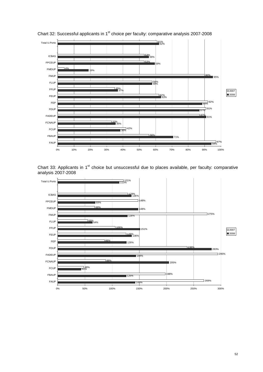![](_page_52_Figure_0.jpeg)

Chart 32: Successful applicants in 1<sup>st</sup> choice per faculty: comparative analysis 2007-2008

Chart 33: Applicants in 1<sup>st</sup> choice but unsuccessful due to places available, per faculty: comparative analysis 2007-2008

![](_page_52_Figure_3.jpeg)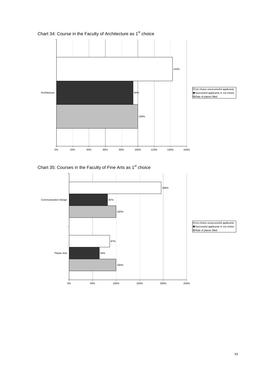![](_page_53_Figure_0.jpeg)

Chart 34: Course in the Faculty of Architecture as  $1<sup>st</sup>$  choice

Chart 35: Courses in the Faculty of Fine Arts as  $1<sup>st</sup>$  choice

![](_page_53_Figure_3.jpeg)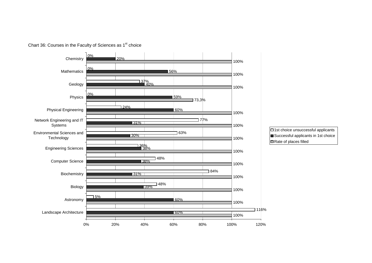![](_page_54_Figure_0.jpeg)

Chart 36: Courses in the Faculty of Sciences as 1<sup>st</sup> choice

□1st choice unsuccessful applicants Successful applicants in 1st choice Rate of places filled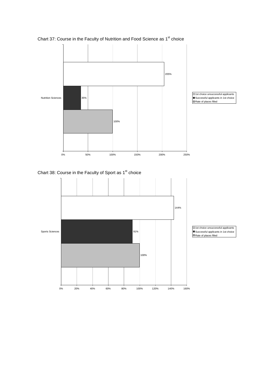![](_page_55_Figure_0.jpeg)

Chart 37: Course in the Faculty of Nutrition and Food Science as 1<sup>st</sup> choice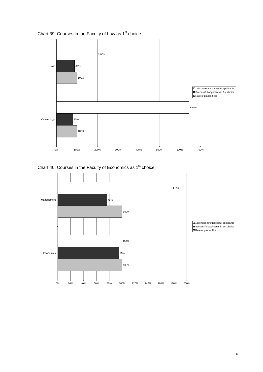![](_page_56_Figure_0.jpeg)

Chart 39: Courses in the Faculty of Law as 1<sup>st</sup> choice

![](_page_56_Figure_2.jpeg)

![](_page_56_Figure_3.jpeg)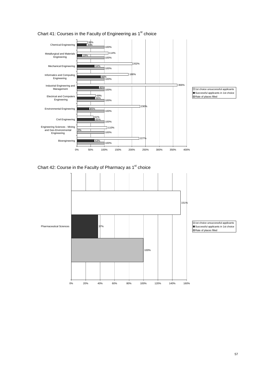![](_page_57_Figure_0.jpeg)

100% 37% 151% 0% 20% 40% 60% 80% 100% 120% 140% 160% Pharmaceutical Sciences  $\boxed{\Box}$  1st choice unsuccessful applicants Successful applicants in 1st choice Rate of places filled

#### Chart 41: Courses in the Faculty of Engineering as  $1<sup>st</sup>$  choice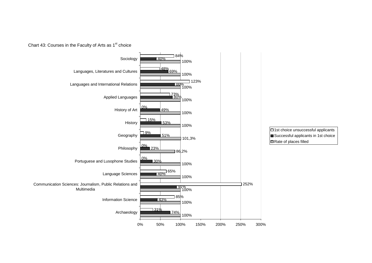![](_page_58_Figure_0.jpeg)

![](_page_58_Figure_1.jpeg)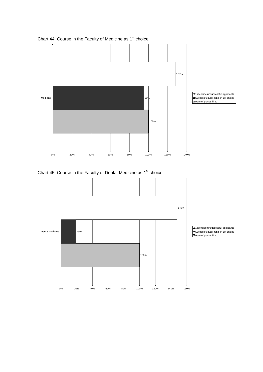![](_page_59_Figure_0.jpeg)

Chart 44: Course in the Faculty of Medicine as 1<sup>st</sup> choice

![](_page_59_Figure_2.jpeg)

![](_page_59_Figure_3.jpeg)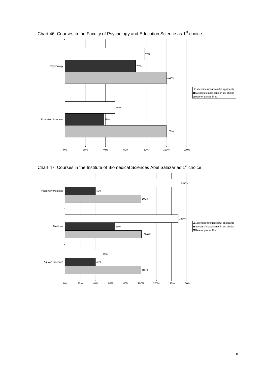![](_page_60_Figure_0.jpeg)

Chart 46: Courses in the Faculty of Psychology and Education Science as 1<sup>st</sup> choice

Chart 47: Courses in the Institute of Biomedical Sciences Abel Salazar as 1<sup>st</sup> choice

![](_page_60_Figure_3.jpeg)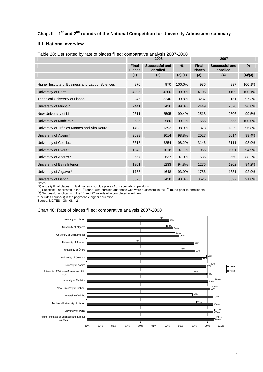## **Chap. II – 1st and 2nd rounds of the National Competition for University Admission: summary**

#### **II.1. National overview**

|                                                  |                               | 2008                       |         | 2007                          |                            |         |  |
|--------------------------------------------------|-------------------------------|----------------------------|---------|-------------------------------|----------------------------|---------|--|
|                                                  | <b>Final</b><br><b>Places</b> | Successful and<br>enrolled | %       | <b>Final</b><br><b>Places</b> | Successful and<br>enrolled | %       |  |
|                                                  | (1)                           | (2)                        | (2)/(1) | (3)                           | (4)                        | (4)/(3) |  |
| Higher Institute of Business and Labour Sciences | 970                           | 970                        | 100.0%  | 936                           | 937                        | 100.1%  |  |
| University of Porto                              | 4205                          | 4200                       | 99.9%   | 4106                          | 4109                       | 100.1%  |  |
| <b>Technical University of Lisbon</b>            | 3246                          | 3240                       | 99.8%   | 3237                          | 3151                       | 97.3%   |  |
| University of Minho <sup>*</sup>                 | 2441                          | 2436                       | 99.8%   | 2449                          | 2370                       | 96.8%   |  |
| New University of Lisbon                         | 2611                          | 2595                       | 99.4%   | 2518                          | 2506                       | 99.5%   |  |
| University of Madeira *                          | 585                           | 580                        | 99.1%   | 555                           | 555                        | 100.0%  |  |
| University of Trás-os-Montes and Alto Douro *    | 1408                          | 1392                       | 98.9%   | 1373                          | 1329                       | 96.8%   |  |
| University of Aveiro *                           | 2039                          | 2014                       | 98.8%   | 2027                          | 2014                       | 99.4%   |  |
| University of Coimbra                            | 3315                          | 3254                       | 98.2%   | 3146                          | 3111                       | 98.9%   |  |
| University of Évora *                            | 1048                          | 1018                       | 97.1%   | 1055                          | 1001                       | 94.9%   |  |
| University of Azores *                           | 657                           | 637                        | 97.0%   | 635                           | 560                        | 88.2%   |  |
| University of Beira Interior                     | 1301                          | 1233                       | 94.8%   | 1276                          | 1202                       | 94.2%   |  |
| University of Algarve *                          | 1755                          | 1648                       | 93.9%   | 1756                          | 1631                       | 92.9%   |  |
| University of Lisbon                             | 3676                          | 3428                       | 93.3%   | 3626                          | 3327                       | 91.8%   |  |

Table 28: List sorted by rate of places filled: comparative analysis 2007-2008

Notes:

(1) and (3) Final places = initial places + surplus places from special competitions<br>(2) Successful applicants in the 1<sup>st</sup> round, who enrolled and those who were successful in the 2<sup>nd</sup> round prior to enrolments

 $(4)$  Successful applicants in the 1<sup>st</sup> and 2<sup>nd</sup> rounds who completed enrolment

\* Includes course(s) in the polytechnic higher education

Source: MCTES - GM\_08\_n2

#### Chart 48: Rate of places filled: comparative analysis 2007-2008

![](_page_61_Figure_10.jpeg)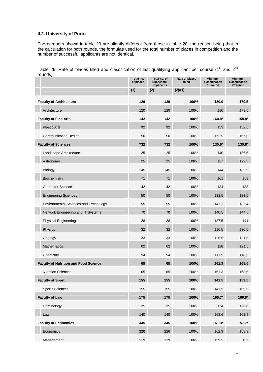#### **II.2. University of Porto**

The numbers shown in table 29 are slightly different from those in table 28, the reason being that in the calculation for both rounds, the formulae used for the total number of places in competition and the number of successful applicants are not identical.

Table 29: Rate of places filled and classification of last qualifying applicant per course (1st and  $2^{nd}$ rounds)

| ruurius)                                     | Total no.<br>of places | Total no. of<br><b>Successful</b><br>applicants | Rate of places<br>filled | <b>Minimum</b><br>classification<br>1 <sup>st</sup> round | <b>Minimum</b><br>classification<br>$2^{nd}$ round |
|----------------------------------------------|------------------------|-------------------------------------------------|--------------------------|-----------------------------------------------------------|----------------------------------------------------|
|                                              | (1)                    | (2)                                             | (2)/(1)                  |                                                           |                                                    |
| <b>Faculty of Architecture</b>               | 120                    | 120                                             | 100%                     | 180.0                                                     | 179.5                                              |
| Architecture                                 | 120                    | 120                                             | 100%                     | 180                                                       | 179.5                                              |
| <b>Faculty of Fine Arts</b>                  | 142                    | 142                                             | 100%                     | 160.0*                                                    | 158.8*                                             |
| <b>Plastic Arts</b>                          | 92                     | 92                                              | 100%                     | 153                                                       | 152.5                                              |
| <b>Communication Design</b>                  | 50                     | 50                                              | 100%                     | 172.5                                                     | 167.5                                              |
| <b>Faculty of Sciences</b>                   | 732                    | 732                                             | 100%                     | 135.6*                                                    | 130.8*                                             |
| Landscape Architecture                       | 25                     | 25                                              | 100%                     | 140                                                       | 136.5                                              |
| Astronomy                                    | 25                     | 25                                              | 100%                     | 127                                                       | 122.5                                              |
| <b>Biology</b>                               | 145                    | 145                                             | 100%                     | 144                                                       | 132.5                                              |
| Biochemistry                                 | 71                     | 71                                              | 100%                     | 161                                                       | 159                                                |
| <b>Computer Science</b>                      | 42                     | 42                                              | 100%                     | 134                                                       | 138                                                |
| <b>Engineering Sciences</b>                  | 50                     | 50                                              | 100%                     | 133.5                                                     | 133.5                                              |
| <b>Environmental Sciences and Technology</b> | 55                     | 55                                              | 100%                     | 141.2                                                     | 132.4                                              |
| Network Engineering and IT Systems           | 70                     | 70                                              | 100%                     | 140.5                                                     | 144.5                                              |
| <b>Physical Engineering</b>                  | 28                     | 28                                              | 100%                     | 137.5                                                     | 141                                                |
| Physics                                      | 32                     | 32                                              | 100%                     | 116.5                                                     | 130.5                                              |
| Geology                                      | 33                     | 33                                              | 100%                     | 126.5                                                     | 121.5                                              |
| <b>Mathematics</b>                           | 62                     | 62                                              | 100%                     | 128                                                       | 121.5                                              |
| Chemistry                                    | 94                     | 94                                              | 100%                     | 111.5                                                     | 118.5                                              |
| <b>Faculty of Nutrition and Food Science</b> | 65                     | 65                                              | 100%                     | 161.3                                                     | 168.5                                              |
| <b>Nutrition Sciences</b>                    | 65                     | 65                                              | 100%                     | 161.3                                                     | 168.5                                              |
| <b>Faculty of Sport</b>                      | 155                    | 155                                             | 100%                     | 141.5                                                     | 159.5                                              |
| <b>Sports Sciences</b>                       | 155                    | 155                                             | 100%                     | 141.5                                                     | 159.5                                              |
| <b>Faculty of Law</b>                        | 175                    | 175                                             | 100%                     | $165.7*$                                                  | 166.6*                                             |
| Criminology                                  | 35                     | 35                                              | 100%                     | 174                                                       | 176.6                                              |
| Law                                          | 140                    | 140                                             | 100%                     | 163.6                                                     | 163.8                                              |
| <b>Faculty of Economics</b>                  | 345                    | 345                                             | 100%                     | $161.3*$                                                  | $157.7*$                                           |
| Economics                                    | 226                    | 226                                             | 100%                     | 162.3                                                     | 158.3                                              |
| Management                                   | 119                    | 119                                             | 100%                     | 159.5                                                     | 157                                                |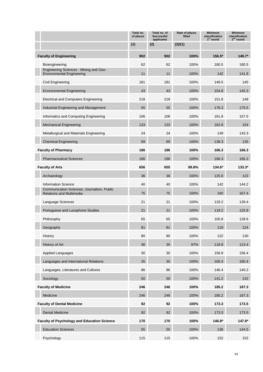|                                                                               | Total no.<br>of places | Total no. of<br><b>Successful</b><br>applicants | Rate of places<br>filled | <b>Minimum</b><br>classification<br>$1st$ round | <b>Minimum</b><br>classification<br>$2nd$ round |
|-------------------------------------------------------------------------------|------------------------|-------------------------------------------------|--------------------------|-------------------------------------------------|-------------------------------------------------|
|                                                                               | (1)                    | (2)                                             | (2)/(1)                  |                                                 |                                                 |
| <b>Faculty of Engineering</b>                                                 | 902                    | 902                                             | 100%                     | 156.5*                                          | 149.7*                                          |
| Bioengineering                                                                | 62                     | 62                                              | 100%                     | 180.5                                           | 180.5                                           |
| Engineering Sciences - Mining and Geo-<br><b>Environmental Engineering</b>    | 11                     | 11                                              | 100%                     | 142                                             | 141.8                                           |
| Civil Engineering                                                             | 181                    | 181                                             | 100%                     | 149.5                                           | 145                                             |
| <b>Environmental Engineering</b>                                              | 43                     | 43                                              | 100%                     | 154.8                                           | 145.3                                           |
| <b>Electrical and Computers Engineering</b>                                   | 218                    | 218                                             | 100%                     | 151.8                                           | 148                                             |
| Industrial Engineering and Management                                         | 55                     | 55                                              | 100%                     | 176.3                                           | 175.5                                           |
| Informatics and Computing Engineering                                         | 106                    | 106                                             | 100%                     | 161.8                                           | 157.5                                           |
| <b>Mechanical Engineering</b>                                                 | 133                    | 133                                             | 100%                     | 162.8                                           | 154                                             |
| Metallurgical and Materials Engineering                                       | 24                     | 24                                              | 100%                     | 149                                             | 143.3                                           |
| <b>Chemical Engineering</b>                                                   | 69                     | 69                                              | 100%                     | 138.3                                           | 135                                             |
| <b>Faculty of Pharmacy</b>                                                    | 186                    | 186                                             | 100%                     | 166.3                                           | 166.3                                           |
| <b>Pharmaceutical Sciences</b>                                                | 186                    | 186                                             | 100%                     | 166.3                                           | 166.3                                           |
| <b>Faculty of Arts</b>                                                        | 656                    | 655                                             | 99.8%                    | 134.6*                                          | $133.3*$                                        |
| Archaeology                                                                   | 36                     | 36                                              | 100%                     | 125.6                                           | 122                                             |
| <b>Information Science</b>                                                    | 40                     | 40                                              | 100%                     | 142                                             | 144.2                                           |
| Communication Sciences: Journalism, Public<br><b>Relations and Multimedia</b> | 75                     | 75                                              | 100%                     | 160                                             | 167.4                                           |
| Language Sciences                                                             | 21                     | 21                                              | 100%                     | 133.2                                           | 139.4                                           |
| Portuguese and Lusophone Studies                                              | 21                     | 21                                              | 100%                     | 119.2                                           | 125.8                                           |
| Philosophy                                                                    | 65                     | 65                                              | 100%                     | 105.8                                           | 128.6                                           |
| Geography                                                                     | 81                     | 81                                              | 100%                     | 119                                             | 124                                             |
| History                                                                       | 80                     | 80                                              | 100%                     | 122                                             | 130                                             |
| History of Art                                                                | 36                     | 35                                              | 97%                      | 118.8                                           | 113.4                                           |
| <b>Applied Languages</b>                                                      | 30                     | 30                                              | 100%                     | 156.8                                           | 156.4                                           |
| Languages and International Relations                                         | 35                     | 35                                              | 100%                     | 160.4                                           | 160.4                                           |
| Languages, Literatures and Cultures                                           | 86                     | 86                                              | 100%                     | 146.4                                           | 140.2                                           |
| Sociology                                                                     | 50                     | 50                                              | 100%                     | 141.2                                           | 142                                             |
| <b>Faculty of Medicine</b>                                                    | 246                    | 246                                             | 100%                     | 185.2                                           | 187.3                                           |
| Medicine                                                                      | 246                    | 246                                             | 100%                     | 185.2                                           | 187.3                                           |
| <b>Faculty of Dental Medicine</b>                                             | 92                     | 92                                              | 100%                     | 173.3                                           | 173.5                                           |
| <b>Dental Medicine</b>                                                        | 92                     | 92                                              | 100%                     | 173.3                                           | 173.5                                           |
| <b>Faculty of Psychology and Education Science</b>                            | 170                    | 170                                             | 100%                     | 146.8*                                          | 147.8*                                          |
| <b>Education Sciences</b>                                                     | 55                     | 55                                              | 100%                     | 136                                             | 144.5                                           |
| Psychology                                                                    | 115                    | 115                                             | 100%                     | 152                                             | 152                                             |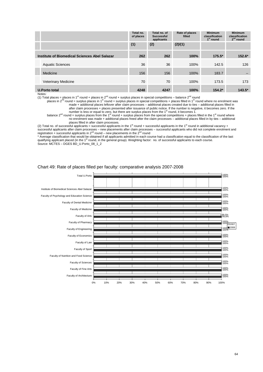|                                               | Total no.<br>of places | Total no. of<br><b>Successful</b><br>applicants | Rate of places<br>filled | <b>Minimum</b><br>classification<br>1 <sup>st</sup> round | <b>Minimum</b><br>classification<br>$2nd$ round |
|-----------------------------------------------|------------------------|-------------------------------------------------|--------------------------|-----------------------------------------------------------|-------------------------------------------------|
|                                               | (1)                    | (2)                                             | (2)/(1)                  |                                                           |                                                 |
| Institute of Biomedical Sciences Abel Salazar | 262                    | 262                                             | 100%                     | $175.5*$                                                  | $152.6*$                                        |
| <b>Aquatic Sciences</b>                       | 36                     | 36                                              | 100%                     | 142.5                                                     | 126                                             |
| Medicine                                      | 156                    | 156                                             | 100%                     | 183.7                                                     | $\sim$                                          |
| <b>Veterinary Medicine</b>                    | 70                     | 70                                              | 100%                     | 173.5                                                     | 173                                             |
| <b>U.Porto total</b>                          | 4248                   | 4247                                            | 100%                     | $154.2*$                                                  | $143.5*$                                        |

#### Notes:

(1) Total places = places in 1<sup>st</sup> round + places in 2<sup>nd</sup> round + surplus places in special competitions – balance 2<sup>nd</sup> round

places in 2<sup>nd</sup> round = surplus places in 1<sup>st</sup> round + surplus places in special competitions + places filled in 1<sup>st</sup> round where no enrolment was made + additional places leftover after claim processes – additional places created due to ties – additional places filled in after claim processes + places presented after issuance of public notice. If the number is negative, it becomes zero. If the number is less or equal to zero, but there are surplus places from the  $1<sup>st</sup>$  round, it becomes 1.

balance 2<sup>nd</sup> round = surplus places from the 1<sup>st</sup> round + surplus places from the special competitions + places filled in the 1<sup>st</sup> round where no enrolment was made + additional places freed after the claim processes – additional places filled in by ties – additional places filled in after claim processes.

(2) Total no. of successful applicants = successful applicants in the 1<sup>st</sup> round + successful applicants in the 1<sup>st</sup> round in additional vacancy + successful applicants after claim processes – new placements after claim processes – successful applicants who did not complete enrolment and<br>registration + successful applicants in 2<sup>nd</sup> round – new placements in the 2<sup>nd</sup>

\* Average classification that would be obtained if all applicants admitted in each course had a classification equal to the classification of the last qualifying applicant placed (in the 1<sup>st</sup> round, in the general group). Weighting factor: no. of successful applicants to each course. Source: MCTES – DGES BD\_U.Porto\_08\_1\_2

![](_page_64_Figure_7.jpeg)

#### Chart 49: Rate of places filled per faculty: comparative analysis 2007-2008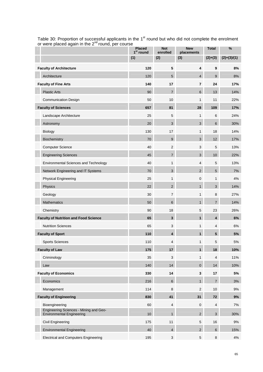| or were placed again in the $\epsilon$ -round, per course                  | <b>Placed</b><br>1 <sup>st</sup> round | <b>Not</b><br>enrolled    | <b>New</b><br>placements  | <b>Total</b>   | $\%$          |  |
|----------------------------------------------------------------------------|----------------------------------------|---------------------------|---------------------------|----------------|---------------|--|
|                                                                            | (1)                                    | (2)                       | (3)                       | $(2)+(3)$      | $(2)+(3)/(1)$ |  |
| <b>Faculty of Architecture</b>                                             | 120                                    | $\sqrt{5}$                | 4                         | 9              | 8%            |  |
| Architecture                                                               | 120                                    | 5                         | $\overline{4}$            | 9              | 8%            |  |
| <b>Faculty of Fine Arts</b>                                                | 140                                    | 17                        | $\overline{7}$            | 24             | 17%           |  |
| <b>Plastic Arts</b>                                                        | 90                                     | $\overline{7}$            | $6\phantom{1}$            | 13             | 14%           |  |
| <b>Communication Design</b>                                                | 50                                     | 10                        | $\mathbf{1}$              | 11             | 22%           |  |
| <b>Faculty of Sciences</b>                                                 | 657                                    | 81                        | 28                        | 109            | 17%           |  |
| Landscape Architecture                                                     | 25                                     | 5                         | $\mathbf{1}$              | 6              | 24%           |  |
| Astronomy                                                                  | 20                                     | 3                         | $\mathbf{3}$              | $6\phantom{1}$ | 30%           |  |
| Biology                                                                    | 130                                    | 17                        | $\mathbf{1}$              | 18             | 14%           |  |
| Biochemistry                                                               | 70                                     | 9                         | $\mathbf{3}$              | 12             | 17%           |  |
| <b>Computer Science</b>                                                    | 40                                     | $\overline{2}$            | 3                         | $\overline{5}$ | 13%           |  |
| <b>Engineering Sciences</b>                                                | 45                                     | $\boldsymbol{7}$          | $\ensuremath{\mathsf{3}}$ | 10             | 22%           |  |
| <b>Environmental Sciences and Technology</b>                               | 40                                     | $\mathbf{1}$              | $\overline{4}$            | $\overline{5}$ | 13%           |  |
| Network Engineering and IT Systems                                         | 70                                     | $\sqrt{3}$                | 2 <sup>1</sup>            | $\sqrt{5}$     | 7%            |  |
| <b>Physical Engineering</b>                                                | 25                                     | 1                         | $\pmb{0}$                 | $\mathbf{1}$   | 4%            |  |
| Physics                                                                    | 22                                     | $\overline{2}$            | 1                         | 3              | 14%           |  |
| Geology                                                                    | 30                                     | $\overline{7}$            | 1                         | 8              | 27%           |  |
| <b>Mathematics</b>                                                         | 50                                     | 6                         | 1                         | $\overline{7}$ | 14%           |  |
| Chemistry                                                                  | 90                                     | 18                        | $\,$ 5 $\,$               | 23             | 26%           |  |
| <b>Faculty of Nutrition and Food Science</b>                               | 65                                     | $\mathbf{3}$              | $\mathbf{1}$              | 4              | 6%            |  |
| <b>Nutrition Sciences</b>                                                  | 65                                     | $\ensuremath{\mathsf{3}}$ | 1                         | 4              | 6%            |  |
| <b>Faculty of Sport</b>                                                    | 110                                    | $\overline{4}$            | $\mathbf{1}$              | 5              | 5%            |  |
| <b>Sports Sciences</b>                                                     | 110                                    | 4                         | 1                         | 5              | 5%            |  |
| <b>Faculty of Law</b>                                                      | 175                                    | 17                        | 1                         | 18             | 10%           |  |
| Criminology                                                                | 35                                     | 3                         | $\mathbf{1}$              | 4              | 11%           |  |
| Law                                                                        | 140                                    | 14                        | $\mathbf 0$               | 14             | 10%           |  |
| <b>Faculty of Economics</b>                                                | 330                                    | 14                        | $\mathbf 3$               | 17             | 5%            |  |
| Economics                                                                  | 216                                    | 6                         | 1                         | $\overline{7}$ | 3%            |  |
| Management                                                                 | 114                                    | 8                         | 2                         | 10             | 9%            |  |
| <b>Faculty of Engineering</b>                                              | 830                                    | 41                        | 31                        | 72             | 9%            |  |
| Bioengineering                                                             | 60                                     | 4                         | 0                         | 4              | 7%            |  |
| Engineering Sciences - Mining and Geo-<br><b>Environmental Engineering</b> | 10                                     | $\mathbf{1}$              | $\overline{2}$            | 3              | 30%           |  |
| <b>Civil Engineering</b>                                                   | 175                                    | 11                        | $\sqrt{5}$                | 16             | $9\%$         |  |
| <b>Environmental Engineering</b>                                           | 40                                     | 4                         | $\overline{2}$            | $6\phantom{1}$ | 15%           |  |
| <b>Electrical and Computers Engineering</b>                                | 195                                    | $\mathbf{3}$              | $\,$ 5 $\,$               | 8              | 4%            |  |

Table 30: Proportion of successful applicants in the  $1<sup>st</sup>$  round but who did not complete the enrolment or were placed again in the 2<sup>nd</sup> round, per course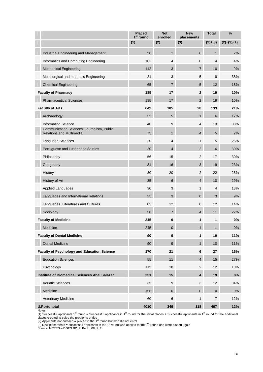|                                                                               | <b>Placed</b><br>1 <sup>st</sup> round | <b>Not</b><br>enrolled | <b>New</b><br>placements | <b>Total</b>   | %             |
|-------------------------------------------------------------------------------|----------------------------------------|------------------------|--------------------------|----------------|---------------|
|                                                                               | (1)                                    | (2)                    | (3)                      | $(2)+(3)$      | $(2)+(3)/(1)$ |
| Industrial Engineering and Management                                         | 50                                     | $\mathbf{1}$           | $\mathbf{0}$             | $\mathbf{1}$   | 2%            |
| Informatics and Computing Engineering                                         | 102                                    | 4                      | $\mathbf 0$              | $\overline{4}$ | 4%            |
| <b>Mechanical Engineering</b>                                                 | 112                                    | 3                      | $\overline{7}$           | 10             | 9%            |
| Metallurgical and materials Engineering                                       | 21                                     | 3                      | 5                        | 8              | 38%           |
| <b>Chemical Engineering</b>                                                   | 65                                     | 7                      | 5                        | 12             | 18%           |
| <b>Faculty of Pharmacy</b>                                                    | 185                                    | 17                     | $\mathbf{2}$             | 19             | 10%           |
| <b>Pharmaceutical Sciences</b>                                                | 185                                    | 17                     | $\overline{2}$           | 19             | 10%           |
| <b>Faculty of Arts</b>                                                        | 642                                    | 105                    | 28                       | 133            | 21%           |
| Archaeology                                                                   | 35                                     | 5                      | 1                        | 6              | 17%           |
| <b>Information Science</b>                                                    | 40                                     | 9                      | 4                        | 13             | 33%           |
| Communication Sciences: Journalism, Public<br><b>Relations and Multimedia</b> | 75                                     | $\mathbf{1}$           | $\overline{4}$           | 5              | 7%            |
| Language Sciences                                                             | 20                                     | $\overline{4}$         | 1                        | 5              | 25%           |
| Portuguese and Lusophone Studies                                              | 20                                     | $\overline{4}$         | $\overline{2}$           | 6              | 30%           |
| Philosophy                                                                    | 56                                     | 15                     | $\overline{2}$           | 17             | 30%           |
| Geography                                                                     | 81                                     | 16                     | 3                        | 19             | 23%           |
| History                                                                       | 80                                     | 20                     | $\overline{2}$           | 22             | 28%           |
| History of Art                                                                | 35                                     | $6\phantom{1}$         | $\overline{4}$           | 10             | 29%           |
| Applied Languages                                                             | 30                                     | 3                      | 1                        | 4              | 13%           |
| Languages and International Relations                                         | 35                                     | 3                      | $\mathbf{0}$             | 3              | 9%            |
| Languages, Literatures and Cultures                                           | 85                                     | 12                     | $\mathbf 0$              | 12             | 14%           |
| Sociology                                                                     | 50                                     | $\overline{7}$         | 4                        | 11             | 22%           |
| <b>Faculty of Medicine</b>                                                    | 245                                    | 0                      | 1                        | 1              | $0\%$         |
| Medicine                                                                      | 245                                    | 0                      | 1                        | $\overline{1}$ | 0%            |
| <b>Faculty of Dental Medicine</b>                                             | 90                                     | $\boldsymbol{9}$       | 1                        | 10             | 11%           |
| <b>Dental Medicine</b>                                                        | 90                                     | $\boldsymbol{9}$       | $\mathbf{1}$             | 10             | 11%           |
| <b>Faculty of Psychology and Education Science</b>                            | 170                                    | 21                     | 6                        | 27             | 16%           |
| <b>Education Sciences</b>                                                     | 55                                     | 11                     | $\overline{4}$           | 15             | 27%           |
| Psychology                                                                    | 115                                    | 10                     | $\overline{2}$           | 12             | 10%           |
| Institute of Biomedical Sciences Abel Salazar                                 | 251                                    | 15                     | 4                        | 19             | 8%            |
| <b>Aquatic Sciences</b>                                                       | 35                                     | $\boldsymbol{9}$       | 3                        | 12             | 34%           |
| Medicine                                                                      | 156                                    | $\pmb{0}$              | $\mathbf 0$              | $\pmb{0}$      | $0\%$         |
| Veterinary Medicine                                                           | 60                                     | 6                      | 1                        | 7              | 12%           |
| <b>U.Porto total</b>                                                          | 4010                                   | 349                    | 118                      | 467            | 12%           |

Notes:<br>(1) Successful applicants 1<sup>st</sup> round = Successful applicants in 1<sup>st</sup> round for the initial places + Successful applicants in 1<sup>st</sup> round for the additional places created to solve the problems of ties<br>(2) Applicants not enrolled = placed in the 1<sup>st</sup> round but who did not enrol

(3) New placements = successful applicants in the 1<sup>ª</sup> round who applied to the  $2<sup>nd</sup>$  round and were placed again

Source: MCTES – DGES BD\_U.Porto\_08\_1\_2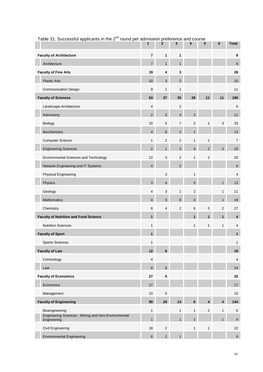| $\frac{1}{2}$ able 51. Outcession applicants in the $\frac{1}{2}$ -fourth per admission preference and course | 1              | $\mathbf{2}$   | 3                       | 4              | 5                       | 6                       | <b>Total</b>            |
|---------------------------------------------------------------------------------------------------------------|----------------|----------------|-------------------------|----------------|-------------------------|-------------------------|-------------------------|
| <b>Faculty of Architecture</b>                                                                                | $\overline{7}$ | 1              | 1                       |                |                         |                         | $\boldsymbol{9}$        |
| Architecture                                                                                                  | $\overline{7}$ | 1              | $\mathbf{1}$            |                |                         |                         | 9                       |
| <b>Faculty of Fine Arts</b>                                                                                   | 19             | 4              | 3                       |                |                         |                         | 26                      |
| <b>Plastic Arts</b>                                                                                           | 10             | $\mathbf{3}$   | $\overline{2}$          |                |                         |                         | 15                      |
| <b>Communication Design</b>                                                                                   | 9              | $\mathbf{1}$   | 1                       |                |                         |                         | 11                      |
| <b>Faculty of Sciences</b>                                                                                    | 63             | 37             | 35                      | 28             | 11                      | 11                      | 185                     |
| Landscape Architecture                                                                                        | $\overline{4}$ |                | 2                       |                |                         |                         | $\,6$                   |
| Astronomy                                                                                                     | $\overline{2}$ | $\mathbf{3}$   | $\overline{\mathbf{4}}$ | $\overline{2}$ |                         |                         | 11                      |
| Biology                                                                                                       | 15             | $\,$ 5 $\,$    | $\overline{7}$          | $\sqrt{2}$     | 1                       | 3                       | 33                      |
| Biochemistry                                                                                                  | $\overline{4}$ | 6              | $\overline{2}$          | $\mathbf{1}$   |                         |                         | 13                      |
| <b>Computer Science</b>                                                                                       | $\mathbf{1}$   | $\overline{2}$ | $\overline{2}$          | $\mathbf{1}$   | $\mathbf{1}$            |                         | $\overline{7}$          |
| <b>Engineering Sciences</b>                                                                                   | $\overline{2}$ | 1              | 3                       | $\overline{4}$ | $\sqrt{2}$              | 3                       | 15                      |
| Environmental Sciences and Technology                                                                         | 12             | 3              | $\overline{2}$          | $\mathbf{1}$   | $\sqrt{2}$              |                         | 20                      |
| Network Engineering and IT Systems                                                                            | $\overline{4}$ |                | $\overline{\mathbf{c}}$ |                |                         |                         | $\,6\,$                 |
| <b>Physical Engineering</b>                                                                                   |                | $\mathbf{3}$   |                         | $\mathbf{1}$   |                         |                         | $\overline{4}$          |
| Physics                                                                                                       | 3              | $\overline{4}$ |                         | $\overline{5}$ |                         | $\mathbf{1}$            | 13                      |
| Geology                                                                                                       | 4              | 3              | $\mathbf{1}$            | $\sqrt{2}$     |                         | $\mathbf{1}$            | 11                      |
| Mathematics                                                                                                   | $\overline{4}$ | 3              | 8                       | $\mathbf{3}$   |                         | $\mathbf{1}$            | 19                      |
| Chemistry                                                                                                     | 8              | 4              | 2                       | 6              | 5                       | $\mathbf 2$             | 27                      |
| <b>Faculty of Nutrition and Food Science</b>                                                                  | $\mathbf{1}$   |                |                         | $\mathbf{1}$   | $\mathbf{1}$            | $\mathbf{1}$            | $\overline{\mathbf{4}}$ |
| <b>Nutrition Sciences</b>                                                                                     | $\mathbf{1}$   |                |                         | $\mathbf{1}$   | $\mathbf{1}$            | $\mathbf{1}$            | $\overline{\mathbf{4}}$ |
| <b>Faculty of Sport</b>                                                                                       | $\mathbf{1}$   |                |                         |                |                         |                         | $\mathbf{1}$            |
| <b>Sports Sciences</b>                                                                                        | $\mathbf{1}$   |                |                         |                |                         |                         | $\mathbf{1}$            |
| <b>Faculty of Law</b>                                                                                         | 12             | $6\phantom{a}$ |                         |                |                         |                         | 18                      |
| Criminology                                                                                                   | $\overline{4}$ |                |                         |                |                         |                         | $\overline{4}$          |
| Law                                                                                                           | 8              | $\,6\,$        |                         |                |                         |                         | 14                      |
| <b>Faculty of Economics</b>                                                                                   | 27             | 5              |                         |                |                         |                         | 32                      |
| Economics                                                                                                     | 17             |                |                         |                |                         |                         | $17$                    |
| Management                                                                                                    | 10             | $\sqrt{5}$     |                         |                |                         |                         | 15                      |
| <b>Faculty of Engineering</b>                                                                                 | 90             | 26             | 14                      | $\bf 6$        | $\overline{\mathbf{4}}$ | $\overline{\mathbf{4}}$ | 144                     |
| Bioengineering                                                                                                | $\mathbf{1}$   |                | $\mathbf{1}$            | $\mathbf{1}$   | $\sqrt{2}$              | $\mathbf{1}$            | 6                       |
| Engineering Sciences - Mining and Geo-Environmental<br>Engineering                                            | $\mathbf{1}$   |                | $\mathbf{1}$            | $\mathbf{1}$   |                         | $\mathbf{1}$            | $\overline{4}$          |
| <b>Civil Engineering</b>                                                                                      | 18             | $\overline{2}$ |                         | $\mathbf{1}$   | $\mathbf{1}$            |                         | 22                      |
| <b>Environmental Engineering</b>                                                                              | 6              | $2^{\circ}$    | $\mathbf{1}$            |                |                         |                         | $\boldsymbol{9}$        |

### Table 31: Successful applicants in the  $2^{nd}$  round per admission preference and course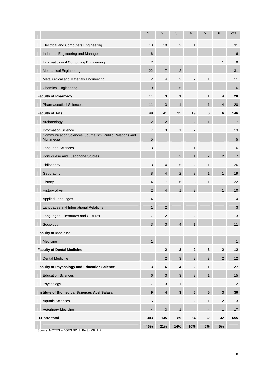|                                                                        | 1              | $\mathbf{2}$   | 3              | 4              | 5              | 6              | <b>Total</b>   |
|------------------------------------------------------------------------|----------------|----------------|----------------|----------------|----------------|----------------|----------------|
| <b>Electrical and Computers Engineering</b>                            | 18             | 10             | 2              | 1              |                |                | 31             |
| Industrial Engineering and Management                                  | 6              |                |                |                |                |                | 6              |
| Informatics and Computing Engineering                                  | $\overline{7}$ |                |                |                |                | 1              | 8              |
| <b>Mechanical Engineering</b>                                          | 22             | $\overline{7}$ | $\overline{2}$ |                |                |                | 31             |
| Metallurgical and Materials Engineering                                | 2              | $\overline{4}$ | $\overline{2}$ | $\overline{2}$ | 1              |                | 11             |
| <b>Chemical Engineering</b>                                            | 9              | $\mathbf{1}$   | 5              |                |                | $\mathbf{1}$   | 16             |
| <b>Faculty of Pharmacy</b>                                             | 11             | 3              | 1              |                | 1              | 4              | 20             |
| <b>Pharmaceutical Sciences</b>                                         | 11             | 3              |                |                | $\mathbf{1}$   | $\overline{4}$ | 20             |
| <b>Faculty of Arts</b>                                                 | 49             | 41             | 25             | 19             | 6              | 6              | 146            |
| Archaeology                                                            | $\overline{2}$ | $\overline{2}$ |                | $\overline{2}$ | $\mathbf{1}$   |                | $\overline{7}$ |
| <b>Information Science</b>                                             | $\overline{7}$ | 3              | 1              | $\overline{2}$ |                |                | 13             |
| Communication Sciences: Journalism, Public Relations and<br>Multimedia | 5              |                |                |                |                |                | 5              |
| Language Sciences                                                      | 3              |                | $\overline{2}$ | $\mathbf{1}$   |                |                | 6              |
| Portuguese and Lusophone Studies                                       |                |                | $\overline{2}$ | $\mathbf{1}$   | $\overline{c}$ | 2              | $\overline{7}$ |
| Philosophy                                                             | 3              | 14             | 5              | $\overline{2}$ | $\mathbf{1}$   | $\mathbf{1}$   | 26             |
| Geography                                                              | 8              | $\overline{4}$ | $\overline{2}$ | 3              | $\mathbf{1}$   | $\mathbf{1}$   | 19             |
| History                                                                | 4              | $\overline{7}$ | 6              | 3              | 1              | $\mathbf{1}$   | 22             |
| History of Art                                                         | $\overline{2}$ | $\overline{4}$ | $\mathbf{1}$   | $\overline{2}$ |                | $\mathbf{1}$   | 10             |
| <b>Applied Languages</b>                                               | 4              |                |                |                |                |                | $\overline{4}$ |
| Languages and International Relations                                  | $\mathbf{1}$   | $\overline{2}$ |                |                |                |                | 3              |
| Languages, Literatures and Cultures                                    | $\overline{7}$ | $\overline{2}$ | $\overline{2}$ | $\overline{2}$ |                |                | 13             |
| Sociology                                                              | 3              | 3              | $\overline{4}$ | $\mathbf{1}$   |                |                | 11             |
| <b>Faculty of Medicine</b>                                             | 1              |                |                |                |                |                | 1              |
| Medicine                                                               | $\mathbf{1}$   |                |                |                |                |                | $\mathbf{1}$   |
| <b>Faculty of Dental Medicine</b>                                      |                | $\mathbf{2}$   | 3              | $\overline{2}$ | $\mathbf{3}$   | $\overline{2}$ | 12             |
| <b>Dental Medicine</b>                                                 |                | 2              | 3 <sup>1</sup> | $\overline{2}$ | 3              | $\overline{2}$ | 12             |
| <b>Faculty of Psychology and Education Science</b>                     | 13             | $\bf 6$        | 4              | $\mathbf{2}$   | $\mathbf{1}$   | $\mathbf{1}$   | 27             |
| <b>Education Sciences</b>                                              | 6              | 3              | 3 <sup>1</sup> | $\overline{2}$ | $\mathbf{1}$   |                | 15             |
| Psychology                                                             | $\overline{7}$ | 3              | $\mathbf{1}$   |                |                | $\mathbf{1}$   | 12             |
| Institute of Biomedical Sciences Abel Salazar                          | 9              | 4              | $\mathbf{3}$   | 6              | 5              | $\mathbf{3}$   | 30             |
| <b>Aquatic Sciences</b>                                                | 5              | $\mathbf{1}$   | $\overline{2}$ | $\overline{2}$ | $\mathbf{1}$   | $\overline{2}$ | 13             |
| <b>Veterinary Medicine</b>                                             | $\overline{4}$ | $\mathbf{3}$   | 1              | $\overline{4}$ | $\sqrt{4}$     | $\mathbf{1}$   | 17             |
| <b>U.Porto total</b>                                                   | 303            | 135            | 89             | 64             | 32             | 32             | 655            |
|                                                                        | 46%            | 21%            | 14%            | 10%            | $5\%$          | $5%$           |                |

Source: MCTES – DGES BD\_U.Porto\_08\_1\_2